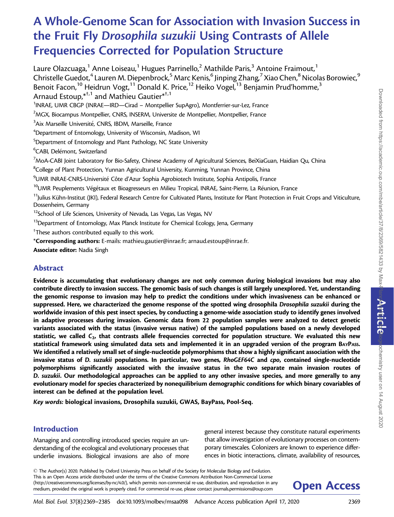# A Whole-Genome Scan for Association with Invasion Success in the Fruit Fly Drosophila suzukii Using Contrasts of Allele Frequencies Corrected for Population Structure

Laure Olazcuaga,<sup>1</sup> Anne Loiseau,<sup>1</sup> Hugues Parrinello,<sup>2</sup> Mathilde Paris,<sup>3</sup> Antoine Fraimout,<sup>1</sup> Christelle Guedot,<sup>4</sup> Lauren M. Diepenbrock,<sup>5</sup> Marc Kenis,<sup>6</sup> Jinping Zhang,<sup>7</sup> Xiao Chen,<sup>8</sup> Nicolas Borowiec,<sup>9</sup> Benoit Facon,<sup>10</sup> Heidrun Vogt,<sup>11</sup> Donald K. Price,<sup>12</sup> Heiko Vogel,<sup>13</sup> Benjamin Prud'homme,<sup>3</sup> Arnaud Estoup. $*^{\dagger,1}$  and Mathieu Gautier $*^{\dagger,1}$ <sup>1</sup>INRAE, UMR CBGP (INRAE—IRD—Cirad - Montpellier SupAgro), Montferrier-sur-Lez, France  $^2$ MGX, Biocampus Montpellier, CNRS, INSERM, Universite de Montpellier, Montpellier, France  $^3$ Aix Marseille Université, CNRS, IBDM, Marseille, France  $\mathrm{^4}$ Department of Entomology, University of Wisconsin, Madison, WI 5 Department of Entomology and Plant Pathology, NC State University <sup>6</sup>CABI, Delémont, Switzerland  $^7$ MoA-CABI Joint Laboratory for Bio-Safety, Chinese Academy of Agricultural Sciences, BeiXiaGuan, Haidian Qu, China <sup>8</sup>College of Plant Protection, Yunnan Agricultural University, Kunming, Yunnan Province, China  $^9$ UMR INRAE-CNRS-Université Côte d'Azur Sophia Agrobiotech Institute, Sophia Antipolis, France <sup>10</sup>UMR Peuplements Végétaux et Bioagresseurs en Milieu Tropical, INRAE, Saint-Pierre, La Réunion, France  $11$ Julius Kühn-Institut (JKI), Federal Research Centre for Cultivated Plants, Institute for Plant Protection in Fruit Crops and Viticulture, Dossenheim, Germany <sup>12</sup>School of Life Sciences, University of Nevada, Las Vegas, Las Vegas, NV <sup>13</sup>Department of Entomology, Max Planck Institute for Chemical Ecology, Jena, Germany  $^\dagger$ These authors contributed equally to this work. \*Corresponding authors: E-mails: mathieu.gautier@inrae.fr; arnaud.estoup@inrae.fr.

Associate editor: Nadia Singh

# Abstract

Evidence is accumulating that evolutionary changes are not only common during biological invasions but may also contribute directly to invasion success. The genomic basis of such changes is still largely unexplored. Yet, understanding the genomic response to invasion may help to predict the conditions under which invasiveness can be enhanced or suppressed. Here, we characterized the genome response of the spotted wing drosophila Drosophila suzukii during the worldwide invasion of this pest insect species, by conducting a genome-wide association study to identify genes involved in adaptive processes during invasion. Genomic data from 22 population samples were analyzed to detect genetic variants associated with the status (invasive versus native) of the sampled populations based on a newly developed statistic, we called  $C_2$ , that contrasts allele frequencies corrected for population structure. We evaluated this new statistical framework using simulated data sets and implemented it in an upgraded version of the program BAYPASS. We identified a relatively small set of single-nucleotide polymorphisms that show a highly significant association with the invasive status of D. suzukii populations. In particular, two genes, RhoGEF64C and cpo, contained single-nucleotide polymorphisms significantly associated with the invasive status in the two separate main invasion routes of D. suzukii. Our methodological approaches can be applied to any other invasive species, and more generally to any evolutionary model for species characterized by nonequilibrium demographic conditions for which binary covariables of interest can be defined at the population level.

Key words: biological invasions, Drosophila suzukii, GWAS, BayPass, Pool-Seq.

## Introduction

Managing and controlling introduced species require an understanding of the ecological and evolutionary processes that underlie invasions. Biological invasions are also of more general interest because they constitute natural experiments that allow investigation of evolutionary processes on contemporary timescales. Colonizers are known to experience differences in biotic interactions, climate, availability of resources,

- The Author(s) 2020. Published by Oxford University Press on behalf of the Society for Molecular Biology and Evolution. This is an Open Access article distributed under the terms of the Creative Commons Attribution Non-Commercial License (http://creativecommons.org/licenses/by-nc/4.0/), which permits non-commercial re-use, distribution, and reproduction in any **Open Access** 

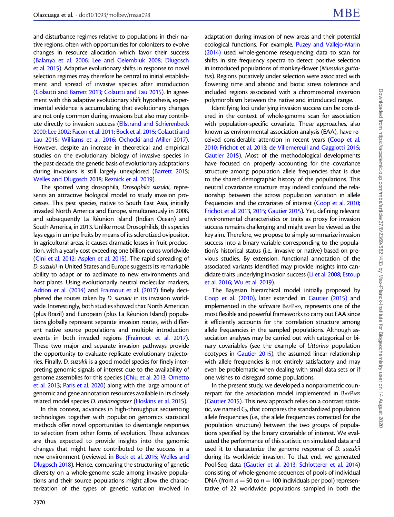and disturbance regimes relative to populations in their native regions, often with opportunities for colonizers to evolve changes in resource allocation which favor their success ([Balanya et al. 2006;](#page-15-0) [Lee and Gelembiuk 2008;](#page-16-0) [Dlugosch](#page-15-0) [et al. 2015](#page-15-0)). Adaptive evolutionary shifts in response to novel selection regimes may therefore be central to initial establishment and spread of invasive species after introduction ([Colautti and Barrett 2013](#page-15-0); [Colautti and Lau 2015](#page-15-0)). In agreement with this adaptive evolutionary shift hypothesis, experimental evidence is accumulating that evolutionary changes are not only common during invasions but also may contribute directly to invasion success [\(Ellstrand and Schierenbeck](#page-15-0) [2000;](#page-15-0) [Lee 2002;](#page-16-0) [Facon et al. 2011](#page-15-0); [Bock et al. 2015](#page-15-0); [Colautti and](#page-15-0) [Lau 2015](#page-15-0); [Williams et al. 2016;](#page-16-0) [Ochocki and Miller 2017\)](#page-16-0). However, despite an increase in theoretical and empirical studies on the evolutionary biology of invasive species in the past decade, the genetic basis of evolutionary adaptations during invasions is still largely unexplored ([Barrett 2015;](#page-15-0) [Welles and Dlugosch 2018;](#page-16-0) [Reznick et al. 2019](#page-16-0)).

The spotted wing drosophila, Drosophila suzukii, represents an attractive biological model to study invasion processes. This pest species, native to South East Asia, initially invaded North America and Europe, simultaneously in 2008, and subsequently La Réunion Island (Indian Ocean) and South America, in 2013. Unlike most Drosophilids, this species lays eggs in unripe fruits by means of its sclerotized ovipositor. In agricultural areas, it causes dramatic losses in fruit production, with a yearly cost exceeding one billion euros worldwide ([Cini et al. 2012;](#page-15-0) [Asplen et al. 2015](#page-15-0)). The rapid spreading of D. suzukii in United States and Europe suggests its remarkable ability to adapt or to acclimate to new environments and host plants. Using evolutionarily neutral molecular markers, [Adrion et al. \(2014\)](#page-15-0) and [Fraimout et al. \(2017\)](#page-15-0) finely deciphered the routes taken by D. suzukii in its invasion worldwide. Interestingly, both studies showed that North American (plus Brazil) and European (plus La Réunion Island) populations globally represent separate invasion routes, with different native source populations and multiple introduction events in both invaded regions [\(Fraimout et al. 2017\)](#page-15-0). These two major and separate invasion pathways provide the opportunity to evaluate replicate evolutionary trajectories. Finally, D. suzukii is a good model species for finely interpreting genomic signals of interest due to the availability of genome assemblies for this species [\(Chiu et al. 2013](#page-15-0); [Ometto](#page-16-0) [et al. 2013;](#page-16-0) [Paris et al. 2020](#page-16-0)) along with the large amount of genomic and gene annotation resources available in its closely related model species D. melanogaster [\(Hoskins et al. 2015](#page-16-0)).

In this context, advances in high-throughput sequencing technologies together with population genomics statistical methods offer novel opportunities to disentangle responses to selection from other forms of evolution. These advances are thus expected to provide insights into the genomic changes that might have contributed to the success in a new environment (reviewed in [Bock et al. 2015;](#page-15-0) [Welles and](#page-16-0) [Dlugosch 2018](#page-16-0)). Hence, comparing the structuring of genetic diversity on a whole-genome scale among invasive populations and their source populations might allow the characterization of the types of genetic variation involved in

adaptation during invasion of new areas and their potential ecological functions. For example, [Puzey and Vallejo-Marin](#page-16-0) [\(2014\)](#page-16-0) used whole-genome resequencing data to scan for shifts in site frequency spectra to detect positive selection in introduced populations of monkey-flower (Mimulus guttatus). Regions putatively under selection were associated with flowering time and abiotic and biotic stress tolerance and included regions associated with a chromosomal inversion polymorphism between the native and introduced range.

Identifying loci underlying invasion success can be considered in the context of whole-genome scan for association with population-specific covariate. These approaches, also known as environmental association analysis (EAA), have received considerable attention in recent years ([Coop et al.](#page-15-0) [2010;](#page-15-0) [Frichot et al. 2013;](#page-16-0) [de Villemereuil and Gaggiotti 2015;](#page-15-0) [Gautier 2015](#page-16-0)). Most of the methodological developments have focused on properly accounting for the covariance structure among population allele frequencies that is due to the shared demographic history of the populations. This neutral covariance structure may indeed confound the relationship between the across population variation in allele frequencies and the covariates of interest [\(Coop et al. 2010;](#page-15-0) [Frichot et al. 2013](#page-16-0), [2015;](#page-16-0) [Gautier 2015\)](#page-16-0). Yet, defining relevant environmental characteristics or traits as proxy for invasion success remains challenging and might even be viewed as the key aim. Therefore, we propose to simply summarize invasion success into a binary variable corresponding to the population's historical status (i.e., invasive or native) based on previous studies. By extension, functional annotation of the associated variants identified may provide insights into candidate traits underlying invasion success [\(Li et al. 2008](#page-16-0); [Estoup](#page-15-0) [et al. 2016](#page-15-0); [Wu et al. 2019\)](#page-16-0).

The Bayesian hierarchical model initially proposed by [Coop et al. \(2010\)](#page-15-0), later extended in [Gautier \(2015\)](#page-16-0) and implemented in the software BAYPASS, represents one of the most flexible and powerful frameworks to carry out EAA since it efficiently accounts for the correlation structure among allele frequencies in the sampled populations. Although association analyses may be carried out with categorical or binary covariables (see the example of Littorina population ecotypes in [Gautier 2015](#page-16-0)), the assumed linear relationship with allele frequencies is not entirely satisfactory and may even be problematic when dealing with small data sets or if one wishes to disregard some populations.

In the present study, we developed a nonparametric counterpart for the association model implemented in BAYPASS [\(Gautier 2015](#page-16-0)). This new approach relies on a contrast statistic, we named  $C_2$ , that compares the standardized population allele frequencies (i.e., the allele frequencies corrected for the population structure) between the two groups of populations specified by the binary covariable of interest. We evaluated the performance of this statistic on simulated data and used it to characterize the genome response of D. suzukii during its worldwide invasion. To that end, we generated Pool-Seq data [\(Gautier et al. 2013;](#page-16-0) [Schlotterer et al. 2014](#page-16-0)) consisting of whole-genome sequences of pools of individual DNA (from  $n = 50$  to  $n = 100$  individuals per pool) representative of 22 worldwide populations sampled in both the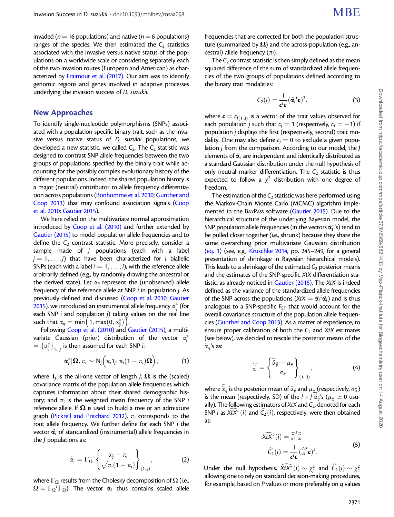<span id="page-2-0"></span>invaded ( $n = 16$  populations) and native ( $n = 6$  populations) ranges of the species. We then estimated the  $C_2$  statistics associated with the invasive versus native status of the populations on a worldwide scale or considering separately each of the two invasion routes (European and American) as characterized by [Fraimout et al. \(2017\)](#page-15-0). Our aim was to identify genomic regions and genes involved in adaptive processes underlying the invasion success of D. suzukii.

#### New Approaches

To identify single-nucleotide polymorphisms (SNPs) associated with a population-specific binary trait, such as the invasive versus native status of D. suzukii populations, we developed a new statistic, we called  $C_2$ . The  $C_2$  statistic was designed to contrast SNP allele frequencies between the two groups of populations specified by the binary trait while accounting for the possibly complex evolutionary history of the different populations. Indeed, the shared population history is a major (neutral) contributor to allele frequency differentiation across populations [\(Bonhomme et al. 2010](#page-15-0); [Gunther and](#page-16-0) [Coop 2013\)](#page-16-0) that may confound association signals [\(Coop](#page-15-0) [et al. 2010](#page-15-0); [Gautier 2015](#page-16-0)).

We here relied on the multivariate normal approximation introduced by [Coop et al. \(2010\)](#page-15-0) and further extended by [Gautier \(2015\)](#page-16-0) to model population allele frequencies and to define the  $C_2$  contrast statistic. More precisely, consider a sample made of J populations (each with a label  $j = 1, \ldots, J$ ) that have been characterized for *I* biallelic SNPs (each with a label  $i = 1, \ldots, l$ ), with the reference allele arbitrarily defined (e.g., by randomly drawing the ancestral or the derived state). Let  $\alpha_{ii}$  represent the (unobserved) allele frequency of the reference allele at SNP i in population j. As previously defined and discussed [\(Coop et al. 2010;](#page-15-0) [Gautier](#page-16-0) [2015\)](#page-16-0), we introduced an instrumental allele frequency  $\alpha^*_{ij}$  (for each SNP i and population j) taking values on the real line each SNP *i* and population *j*) takir<br>such that  $\alpha_{ij} = \min\left(1, \max(0, \alpha_{ij}^*)\right)$ .

Following [Coop et al. \(2010\)](#page-15-0) and [Gautier \(2015\),](#page-16-0) a multivariate Gaussian (prior) distribution of the vector  $\alpha_i^*$  $\mathcal{A}=\left\{\alpha_{ij}^*\right\}_{1...j}$  is then assumed for each SNP *i*:

$$
\boldsymbol{\alpha}_i^*|\boldsymbol{\Omega}, \pi_i \sim N_J\Big(\pi_i 1_j; \pi_i(1-\pi_i)\boldsymbol{\Omega}\Big), \qquad (1)
$$

where  $\mathbf{1}_i$  is the all-one vector of length *J*;  $\Omega$  is the (scaled) covariance matrix of the population allele frequencies which captures information about their shared demographic history; and  $\pi_i$  is the weighted mean frequency of the SNP i reference allele. If  $\Omega$  is used to build a tree or an admixture graph [\(Pickrell and Pritchard 2012](#page-16-0)),  $\pi_i$  corresponds to the root allele frequency. We further define for each SNP i the vector  $\ddot{\alpha}_i$  of standardized (instrumental) allele frequencies in the J populations as:

$$
\ddot{\alpha}_i = \Gamma_{\Omega}^{-1} \left\{ \frac{\alpha_{ij} - \pi_i}{\sqrt{\pi_i (1 - \pi_i)}} \right\}_{(1..j)},
$$
 (2)

where  $\Gamma_{\Omega}$  results from the Cholesky decomposition of  $\Omega$  (i.e.,  $\Omega = \Gamma_{\Omega}^{\ t} \Gamma_{\Omega}$ ). The vector  $\ddot{\textbf{\emph{a}}}_{i}$  thus contains scaled allele frequencies that are corrected for both the population structure (summarized by  $\Omega$ ) and the across-population (e.g., ancestral) allele frequency  $(\pi_i)$ .

The  $C_2$  contrast statistic is then simply defined as the mean squared difference of the sum of standardized allele frequencies of the two groups of populations defined according to the binary trait modalities:

$$
C_2(i) = \frac{1}{c^t c} (\ddot{\alpha}_i^t c)^2, \qquad (3)
$$

where  $\mathbf{c} = c_{i(1..l)}$  is a vector of the trait values observed for each population j such that  $c_i = 1$  (respectively,  $c_i = -1$ ) if population j displays the first (respectively, second) trait modality. One may also define  $c_i = 0$  to exclude a given population j from the comparison. According to our model, the J elements of  $\ddot{\alpha}_i$  are independent and identically distributed as a standard Gaussian distribution under the null hypothesis of only neutral marker differentiation. The  $C_2$  statistic is thus expected to follow a  $\chi^2$  distribution with one degree of freedom.

The estimation of the  $C_2$  statistic was here performed using the Markov-Chain Monte Carlo (MCMC) algorithm implemented in the BAYPASS software [\(Gautier 2015](#page-16-0)). Due to the hierarchical structure of the underlying Bayesian model, the SNP population allele frequencies (in the vectors  $\alpha_i^*$ 's) tend to be pulled closer together (i.e., shrunk) because they share the same overarching prior multivariate Gaussian distribution (eq. 1) (see, e.g., [Kruschke 2014](#page-16-0), pp. 245–249, for a general presentation of shrinkage in Bayesian hierarchical models). This leads to a shrinkage of the estimated  $C_2$  posterior means and the estimates of the SNP-specific XtX differentiation sta-tistic, as already noticed in [Gautier \(2015\)](#page-16-0). The XtX is indeed defined as the variance of the standardized allele frequencies of the SNP across the populations (XtX  $= \ddot{\alpha}_i^t \ddot{\alpha}_i$ ) and is thus analogous to a SNP-specific  $F_{ST}$  that would account for the overall covariance structure of the population allele frequencies [\(Gunther and Coop 2013](#page-16-0)). As a matter of expedience, to ensure proper calibration of both the  $C_2$  and XtX estimates (see below), we decided to rescale the posterior means of the  $\ddot{\alpha}_{ij}$ 's as:

a <sup>b</sup>€<sup>i</sup> <sup>¼</sup> <sup>b</sup>€aij <sup>l</sup>€<sup>a</sup> r€a ( ) ð1...JÞ ; (4)

where  $\ddot{\alpha}_{ij}$  is the posterior mean of  $\ddot{\alpha}_{ij}$  and  $\mu_{\ddot{\alpha}}$  (respectively,  $\sigma_{\dot{\alpha}}$ ) is the mean (respectively, SD) of the  $I \times J \ddot{\alpha}_{ij}$ 's ( $\mu_{\ddot{\alpha}} \simeq 0$  usually). The following estimators of XtX and  $C_2$ , denoted for each SNP *i* as  $\widehat{X}$ t $X^*(i)$  and  $\widehat{C}_2(i)$ , respectively, were then obtained as:

$$
\widehat{xtX^*}(i) = \widehat{\alpha}^t \widehat{\alpha}
$$
\n
$$
\widehat{C}_2(i) = \frac{1}{c^t c} (\widehat{\alpha}^t i c)^2.
$$
\n(5)

Under the null hypothesis,  $\widehat{X}\widehat{t}X^*(i) \sim \chi_j^2$  and  $\widehat{C}_2(i) \sim \chi_1^2$ allowing one to rely on standard decision-making procedures, for example, based on P values or more preferably on q values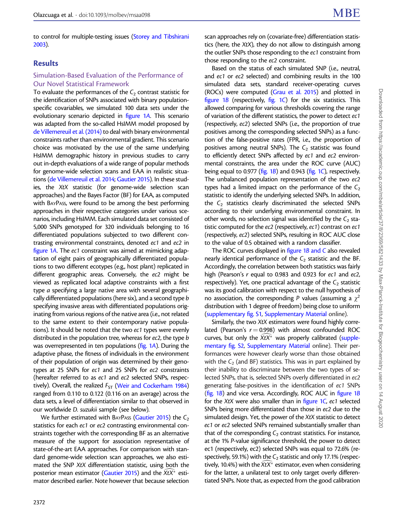to control for multiple-testing issues ([Storey and Tibshirani](#page-16-0) [2003\)](#page-16-0).

## Results

#### Simulation-Based Evaluation of the Performance of Our Novel Statistical Framework

To evaluate the performances of the  $C_2$  contrast statistic for the identification of SNPs associated with binary populationspecific covariables, we simulated 100 data sets under the evolutionary scenario depicted in [figure 1](#page-4-0)A. This scenario was adapted from the so-called HsIMM model proposed by [de Villemereuil et al. \(2014\)](#page-15-0) to deal with binary environmental constraints rather than environmental gradient. This scenario choice was motivated by the use of the same underlying HsIMM demographic history in previous studies to carry out in-depth evaluations of a wide range of popular methods for genome-wide selection scans and EAA in realistic situations [\(de Villemereuil et al. 2014;](#page-15-0) [Gautier 2015](#page-16-0)). In these studies, the XtX statistic (for genome-wide selection scan approaches) and the Bayes Factor (BF) for EAA, as computed with BAYPASS, were found to be among the best performing approaches in their respective categories under various scenarios, including HsIMM. Each simulated data set consisted of 5,000 SNPs genotyped for 320 individuals belonging to 16 differentiated populations subjected to two different contrasting environmental constraints, denoted ec1 and ec2 in [figure 1](#page-4-0)A. The ec1 constraint was aimed at mimicking adaptation of eight pairs of geographically differentiated populations to two different ecotypes (e.g., host plant) replicated in different geographic areas. Conversely, the ec2 might be viewed as replicated local adaptive constraints with a first type a specifying a large native area with several geographically differentiated populations (here six), and a second type b specifying invasive areas with differentiated populations originating from various regions of the native area (i.e., not related to the same extent to their contemporary native populations). It should be noted that the two ec1 types were evenly distributed in the population tree, whereas for ec2, the type *b* was overrepresented in ten populations [\(fig. 1](#page-4-0)A). During the adaptive phase, the fitness of individuals in the environment of their population of origin was determined by their genotypes at 25 SNPs for ec1 and 25 SNPs for ec2 constraints (hereafter referred to as ec1 and ec2 selected SNPs, respectively). Overall, the realized  $F_{ST}$  [\(Weir and Cockerham 1984](#page-16-0)) ranged from 0.110 to 0.122 (0.116 on an average) across the data sets, a level of differentiation similar to that observed in our worldwide D. suzukii sample (see below).

We further estimated with BAYPASS [\(Gautier 2015\)](#page-16-0) the  $C_2$ statistics for each ec1 or ec2 contrasting environmental constraints together with the corresponding BF as an alternative measure of the support for association representative of state-of-the-art EAA approaches. For comparison with standard genome-wide selection scan approaches, we also estimated the SNP XtX differentiation statistic, using both the posterior mean estimator ([Gautier 2015](#page-16-0)) and the  $\tilde{X} t X^{\tilde{*}}$  estimator described earlier. Note however that because selection

scan approaches rely on (covariate-free) differentiation statistics (here, the XtX), they do not allow to distinguish among the outlier SNPs those responding to the ec1 constraint from those responding to the ec2 constraint.

Based on the status of each simulated SNP (i.e., neutral, and ec1 or ec2 selected) and combining results in the 100 simulated data sets, standard receiver-operating curves (ROCs) were computed [\(Grau et al. 2015](#page-16-0)) and plotted in figure  $1B$  (respectively, fig.  $1C$ ) for the six statistics. This allowed comparing for various thresholds covering the range of variation of the different statistics, the power to detect ec1 (respectively, ec2) selected SNPs (i.e., the proportion of true positives among the corresponding selected SNPs) as a function of the false-positive rates (FPR, i.e., the proportion of positives among neutral SNPs). The  $C_2$  statistic was found to efficiently detect SNPs affected by ec1 and ec2 environmental constraints, the area under the ROC curve (AUC) being equal to 0.977 ( $fig. 1B$  $fig. 1B$ ) and 0.943 ( $fig. 1C$ ), respectively. The unbalanced population representation of the two ec2 types had a limited impact on the performance of the  $C_2$ statistic to identify the underlying selected SNPs. In addition, the  $C_2$  statistics clearly discriminated the selected SNPs according to their underlying environmental constraint. In other words, no selection signal was identified by the  $C_2$  statistic computed for the ec2 (respectively, ec1) contrast on ec1 (respectively, ec2) selected SNPs, resulting in ROC AUC close to the value of 0.5 obtained with a random classifier.

The ROC curves displayed in [figure 1](#page-4-0)B and C also revealed nearly identical performance of the  $C_2$  statistic and the BF. Accordingly, the correlation between both statistics was fairly high (Pearson's r equal to 0.983 and 0.923 for ec1 and ec2, respectively). Yet, one practical advantage of the  $C_2$  statistic was its good calibration with respect to the null hypothesis of no association, the corresponding P values (assuming a  $\chi^2$ distribution with 1 degree of freedom) being close to uniform [\(supplementary fig. S1,](https://academic.oup.com/mbe/article-lookup/doi/10.1093/molbev/msaa098#supplementary-data) [Supplementary Material](https://academic.oup.com/mbe/article-lookup/doi/10.1093/molbev/msaa098#supplementary-data) online).

Similarly, the two XtX estimators were found highly correlated (Pearson's  $r = 0.998$ ) with almost confounded ROC curves, but only the  $\overline{X}$ t $X^*$  was properly calibrated [\(supple](https://academic.oup.com/mbe/article-lookup/doi/10.1093/molbev/msaa098#supplementary-data)[mentary fig. S2,](https://academic.oup.com/mbe/article-lookup/doi/10.1093/molbev/msaa098#supplementary-data) [Supplementary Material](https://academic.oup.com/mbe/article-lookup/doi/10.1093/molbev/msaa098#supplementary-data) online). Their performances were however clearly worse than those obtained with the  $C_2$  (and BF) statistics. This was in part explained by their inability to discriminate between the two types of selected SNPs, that is, selected SNPs overly differentiated in ec2 generating false-positives in the identification of ec1 SNPs (fig.  $1B$ ) and vice versa. Accordingly, ROC AUC in figure  $1B$ for the XtX were also smaller than in figure  $1C$ , ec1 selected SNPs being more differentiated than those in ec2 due to the simulated design. Yet, the power of the XtX statistic to detect ec1 or ec2 selected SNPs remained substantially smaller than that of the corresponding  $C_2$  contrast statistics. For instance, at the 1% P-value significance threshold, the power to detect ec1 (respectively, ec2) selected SNPs was equal to 72.6% (respectively, 59.1%) with the  $C_2$  statistic and only 17.1% (respectively, 10.4%) with the  $\tilde{X}$ t $\tilde{X}^*$  estimator, even when considering for the latter, a unilateral test to only target overly differentiated SNPs. Note that, as expected from the good calibration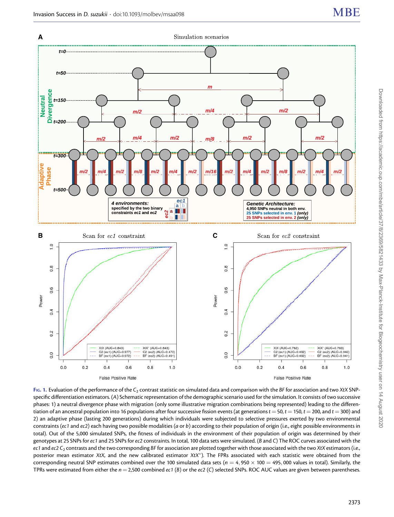<span id="page-4-0"></span>

FIG. 1. Evaluation of the performance of the  $C_2$  contrast statistic on simulated data and comparison with the BF for association and two XtX SNPspecific differentiation estimators. (A) Schematic representation of the demographic scenario used for the simulation. It consists of two successive phases: 1) a neutral divergence phase with migration (only some illustrative migration combinations being represented) leading to the differentiation of an ancestral population into 16 populations after four successive fission events (at generations  $t = 50$ ,  $t = 150$ ,  $t = 200$ , and  $t = 300$ ) and 2) an adaptive phase (lasting 200 generations) during which individuals were subjected to selective pressures exerted by two environmental constraints (ec1 and ec2) each having two possible modalities (a or b) according to their population of origin (i.e., eight possible environments in total). Out of the 5,000 simulated SNPs, the fitness of individuals in the environment of their population of origin was determined by their genotypes at 25 SNPs for ec1 and 25 SNPs for ec2 constraints. In total, 100 data sets were simulated. (B and C) The ROC curves associated with the ec1 and ec2  $C_2$  contrasts and the two corresponding BF for association are plotted together with those associated with the two XtX estimators (i.e., posterior mean estimator XtX, and the new calibrated estimator XtX\*). The FPRs associated with each statistic were obtained from the corresponding neutral SNP estimates combined over the 100 simulated data sets ( $n = 4,950 \times 100 = 495,000$  values in total). Similarly, the TPRs were estimated from either the  $n = 2,500$  combined ec1 (B) or the ec2 (C) selected SNPs. ROC AUC values are given between parentheses.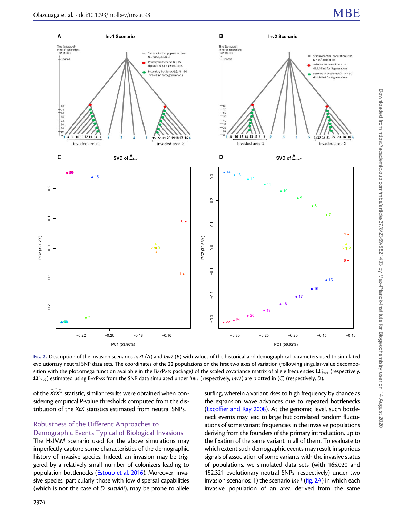<span id="page-5-0"></span>

FIG. 2. Description of the invasion scenarios Inv1 (A) and Inv2 (B) with values of the historical and demographical parameters used to simulated evolutionary neutral SNP data sets. The coordinates of the 22 populations on the first two axes of variation (following singular-value decomposition with the plot.omega function available in the BAYPASS package) of the scaled covariance matrix of allele frequencies  $\Omega_{lnv1}^{\circ}$  (respectively,  $\Omega_{lmz}^{\gamma}$ ) estimated using BAYPASS from the SNP data simulated under Inv1 (respectively, Inv2) are plotted in (C) (respectively, D).

of the  $\widehat{X} t X^{\widehat*}$  statistic, similar results were obtained when considering empirical P-value thresholds computed from the distribution of the XtX statistics estimated from neutral SNPs.

# Robustness of the Different Approaches to Demographic Events Typical of Biological Invasions

The HsIMM scenario used for the above simulations may imperfectly capture some characteristics of the demographic history of invasive species. Indeed, an invasion may be triggered by a relatively small number of colonizers leading to population bottlenecks [\(Estoup et al. 2016](#page-15-0)). Moreover, invasive species, particularly those with low dispersal capabilities (which is not the case of D. suzukii), may be prone to allele surfing, wherein a variant rises to high frequency by chance as the expansion wave advances due to repeated bottlenecks [\(Excoffier and Ray 2008\)](#page-15-0). At the genomic level, such bottleneck events may lead to large but correlated random fluctuations of some variant frequencies in the invasive populations deriving from the founders of the primary introduction, up to the fixation of the same variant in all of them. To evaluate to which extent such demographic events may result in spurious signals of association of some variants with the invasive status of populations, we simulated data sets (with 165,020 and 152,321 evolutionary neutral SNPs, respectively) under two invasion scenarios: 1) the scenario  $lnv1$  (fig. 2A) in which each invasive population of an area derived from the same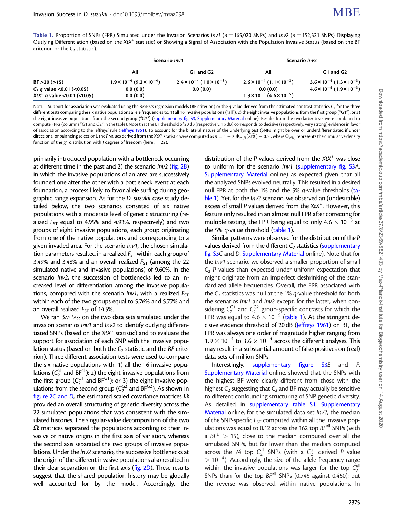Table 1. Proportion of SNPs (FPR) Simulated under the Invasion Scenarios Inv1 ( $n = 165,020$  SNPs) and Inv2 ( $n = 152,321$  SNPs) Displaying Outlying Differentiation (based on the XtX\* statistic) or Showing a Signal of Association with the Population Invasive Status (based on the BF criterion or the  $C_2$  statistic).

|                                                                  | Scenario Inv1                             |                                                       | Scenario Inv2                                            |                                              |  |
|------------------------------------------------------------------|-------------------------------------------|-------------------------------------------------------|----------------------------------------------------------|----------------------------------------------|--|
|                                                                  | All                                       | G1 and G2                                             | All                                                      | G1 and G2                                    |  |
| BF > 20 (>15)                                                    | $1.9\times10^{-4}$ (9.2 $\times10^{-4}$ ) | $2.4 \times 10^{-4}$ (1.0 $\times$ 10 <sup>-3</sup> ) | $2.6 \times 10^{-4}$ (1.1 $\times 10^{-3}$ )             | $3.6 \times 10^{-4}$ (1.3 $\times 10^{-3}$ ) |  |
| $C_2$ q value < 0.01 (< 0.05)<br>$XtX^*$ q value < 0.01 (< 0.05) | 0.0(0.0)<br>0.0(0.0)                      | 0.0(0.0)                                              | 0.0(0.0)<br>$1.3 \times 10^{-5}$ (4.6 $\times 10^{-5}$ ) | $4.6 \times 10^{-5}$ (1.9 $\times 10^{-3}$ ) |  |

NOTE.—Support for association was evaluated using the BAYPASS regression models (BF criterion) or the q value derived from the estimated contrast statistics C<sub>2</sub> for the three different tests comparing the six native populations allele frequencies to: 1) all 16 invasive populations ("all"); 2) the eight invasive populations from the first group ("G1"); or 3) the eight invasive populations from the second group ("G2") [\(supplementary fig. S3](https://academic.oup.com/mbe/article-lookup/doi/10.1093/molbev/msaa098#supplementary-data), [Supplementary Material](https://academic.oup.com/mbe/article-lookup/doi/10.1093/molbev/msaa098#supplementary-data) online). Results from the two latter tests were combined to compute FPRs (columns "G1 and G2" in the table). Note that the BF threshold of 20 dB (respectively, 15 dB) corresponds to decisive (respectively, very strong) evidence in favor of association according to the Jeffreys' rule [\(Jeffreys 1961](#page-16-0)). To account for the bilateral nature of the underlying test (SNPs might be over or underdifferentiated if under directional or balancing selection), the P values derived from the XtX\* statistic were computed as  $p=1-2|\Phi_{\chi^2(j)}(\bar{\text{X}}\text{K}\text{)}-0.5|$ , where  $\Phi_{\chi^2(j)}$  represents the cumulative density function of the  $\chi^2$  distribution with *J* degrees of freedom (here *J* = 22).

primarily introduced population with a bottleneck occurring at different time in the past and 2) the scenario  $lnv^2$  ([fig. 2](#page-5-0)B) in which the invasive populations of an area are successively founded one after the other with a bottleneck event at each foundation, a process likely to favor allele surfing during geographic range expansion. As for the D. suzukii case study detailed below, the two scenarios consisted of six native populations with a moderate level of genetic structuring (realized  $F_{ST}$  equal to 4.95% and 4.93%, respectively) and two groups of eight invasive populations, each group originating from one of the native populations and corresponding to a given invaded area. For the scenario Inv1, the chosen simulation parameters resulted in a realized  $F_{ST}$  within each group of 3.49% and 3.48% and an overall realized  $F_{ST}$  (among the 22 simulated native and invasive populations) of 9.60%. In the scenario Inv2, the succession of bottlenecks led to an increased level of differentiation among the invasive populations, compared with the scenario  $Inv1$ , with a realized  $F_{ST}$ within each of the two groups equal to 5.76% and 5.77% and an overall realized  $F_{ST}$  of 14.5%.

We ran BAYPASS on the two data sets simulated under the invasion scenarios Inv1 and Inv2 to identify outlying differentiated SNPs (based on the  $XtX^*$  statistic) and to evaluate the support for association of each SNP with the invasive population status (based on both the  $C_2$  statistic and the BF criterion). Three different association tests were used to compare the six native populations with: 1) all the 16 invasive populations ( $C_2^{\text{all}}$  and BF<sup>all</sup>); 2) the eight invasive populations from the first group ( $C_2^{G1}$  and BF<sup>G1</sup>); or 3) the eight invasive populations from the second group ( $C_2^{\rm G2}$  and BF $^{\rm G2}$ ). As shown in [figure 2](#page-5-0)C and D, the estimated scaled covariance matrices  $\Omega$ provided an overall structuring of genetic diversity across the 22 simulated populations that was consistent with the simulated histories. The singular-value decomposition of the two  $\Omega$  matrices separated the populations according to their invasive or native origins in the first axis of variation, whereas the second axis separated the two groups of invasive populations. Under the Inv2 scenario, the successive bottlenecks at the origin of the different invasive populations also resulted in their clear separation on the first axis ([fig. 2](#page-5-0)D). These results suggest that the shared population history may be globally well accounted for by the model. Accordingly, the

distribution of the  $P$  values derived from the  $XtX^*$  was close to uniform for the scenario *lnv1* [\(supplementary fig. S3](https://academic.oup.com/mbe/article-lookup/doi/10.1093/molbev/msaa098#supplementary-data)A, [Supplementary Material](https://academic.oup.com/mbe/article-lookup/doi/10.1093/molbev/msaa098#supplementary-data) online) as expected given that all the analyzed SNPs evolved neutrally. This resulted in a desired null FPR at both the 1% and the 5% q-value thresholds (table 1). Yet, for the *Inv2* scenario, we observed an (undesirable) excess of small P values derived from the  $XtX^*$ . However, this feature only resulted in an almost null FPR after correcting for multiple testing, the FPR being equal to only  $4.6 \times 10^{-5}$  at the 5% *q*-value threshold (table 1).

Similar patterns were observed for the distribution of the P values derived from the different  $C_2$  statistics [\(supplementary](https://academic.oup.com/mbe/article-lookup/doi/10.1093/molbev/msaa098#supplementary-data) [fig. S3](https://academic.oup.com/mbe/article-lookup/doi/10.1093/molbev/msaa098#supplementary-data)C and D, [Supplementary Material](https://academic.oup.com/mbe/article-lookup/doi/10.1093/molbev/msaa098#supplementary-data) online). Note that for the Inv1 scenario, we observed a smaller proportion of small  $C_2$  P values than expected under uniform expectation that might originate from an imperfect deshrinking of the standardized allele frequencies. Overall, the FPR associated with the  $C_2$  statistics was null at the 1% q-value threshold for both the scenarios Inv1 and Inv2 except, for the latter, when considering  $C_2^{G1}$  and  $C_2^{G2}$  group-specific contrasts for which the FPR was equal to  $4.6 \times 10^{-5}$  (table 1). At the stringent decisive evidence threshold of 20 dB ([Jeffreys 1961](#page-16-0)) on BF, the FPR was always one order of magnitude higher ranging from  $1.9 \times 10^{-4}$  to 3.6  $\times$  10<sup>-4</sup> across the different analyses. This may result in a substantial amount of false-positives on (real) data sets of million SNPs.

Interestingly, [supplementary figure S3](https://academic.oup.com/mbe/article-lookup/doi/10.1093/molbev/msaa098#supplementary-data)E and F, [Supplementary Material](https://academic.oup.com/mbe/article-lookup/doi/10.1093/molbev/msaa098#supplementary-data) online, showed that the SNPs with the highest BF were clearly different from those with the highest  $C_2$  suggesting that  $C_2$  and BF may actually be sensitive to different confounding structuring of SNP genetic diversity. As detailed in [supplementary table S1](https://academic.oup.com/mbe/article-lookup/doi/10.1093/molbev/msaa098#supplementary-data), [Supplementary](https://academic.oup.com/mbe/article-lookup/doi/10.1093/molbev/msaa098#supplementary-data) [Material](https://academic.oup.com/mbe/article-lookup/doi/10.1093/molbev/msaa098#supplementary-data) online, for the simulated data set Inv2, the median of the SNP-specific  $F_{ST}$  computed within all the invasive populations was equal to 0.12 across the 162 top  $BF<sup>all</sup>$  SNPs (with a  $BF^{all}$  > 15), close to the median computed over all the simulated SNPs, but far lower than the median computed across the 74 top  $C_2^{\text{all}}$  SNPs (with a  $C_2^{\text{all}}$  derived P value  $> 10^{-4}$ ). Accordingly, the size of the allele frequency range within the invasive populations was larger for the top  $C_2^{\text{all}}$ SNPs than for the top  $BF<sup>all</sup>$  SNPs (0.745 against 0.450); but the reverse was observed within native populations. In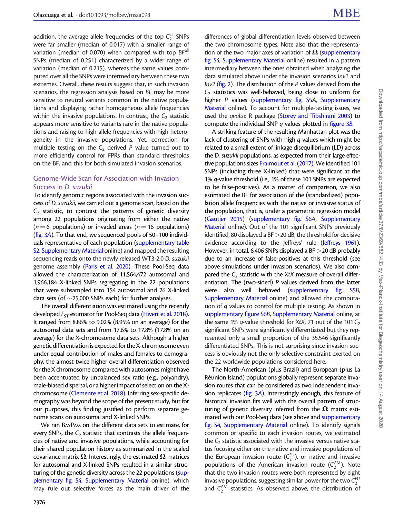addition, the average allele frequencies of the top  $C_2^{\text{all}}$  SNPs were far smaller (median of 0.017) with a smaller range of variation (median of 0.070) when compared with top BF<sup>all</sup> SNPs (median of 0.251) characterized by a wider range of variation (median of 0.215), whereas the same values computed over all the SNPs were intermediary between these two extremes. Overall, these results suggest that, in such invasion scenarios, the regression analysis based on BF may be more sensitive to neutral variants common in the native populations and displaying rather homogeneous allele frequencies within the invasive populations. In contrast, the  $C_2$  statistic appears more sensitive to variants rare in the native populations and raising to high allele frequencies with high heterogeneity in the invasive populations. Yet, correction for multiple testing on the  $C_2$  derived P value turned out to more efficiently control for FPRs than standard thresholds on the BF, and this for both simulated invasion scenarios.

## Genome-Wide Scan for Association with Invasion Success in D. suzukii

To identify genomic regions associated with the invasion success of D. suzukii, we carried out a genome scan, based on the  $C_2$  statistic, to contrast the patterns of genetic diversity among 22 populations originating from either the native  $(n=6$  populations) or invaded areas (n = 16 populations) ([fig. 3](#page-8-0)A). To that end, we sequenced pools of 50–100 individuals representative of each population [\(supplementary table](https://academic.oup.com/mbe/article-lookup/doi/10.1093/molbev/msaa098#supplementary-data) [S2](https://academic.oup.com/mbe/article-lookup/doi/10.1093/molbev/msaa098#supplementary-data), [Supplementary Material](https://academic.oup.com/mbe/article-lookup/doi/10.1093/molbev/msaa098#supplementary-data) online) and mapped the resulting sequencing reads onto the newly released WT3-2.0 D. suzukii genome assembly ([Paris et al. 2020](#page-16-0)). These Pool-Seq data allowed the characterization of 11,564,472 autosomal and 1,966,184 X-linked SNPs segregating in the 22 populations that were subsampled into 154 autosomal and 26 X-linked data sets (of  $\sim$  75,000 SNPs each) for further analyses.

The overall differentiation was estimated using the recently developed  $F_{ST}$  estimator for Pool-Seq data [\(Hivert et al. 2018\)](#page-16-0). It ranged from 8.86% to 9.02% (8.95% on an average) for the autosomal data sets and from 17.6% to 17.8% (17.8% on an average) for the X-chromosome data sets. Although a higher genetic differentiation is expected for the X-chromosome even under equal contribution of males and females to demography, the almost twice higher overall differentiation observed for the X chromosome compared with autosomes might have been accentuated by unbalanced sex ratio (e.g., polyandry), male-biased dispersal, or a higher impact of selection on the Xchromosome [\(Clemente et al. 2018](#page-15-0)). Inferring sex-specific demography was beyond the scope of the present study, but for our purposes, this finding justified to perform separate genome scans on autosomal and X-linked SNPs.

We ran BAYPASS on the different data sets to estimate, for every SNPs, the  $C_2$  statistic that contrasts the allele frequencies of native and invasive populations, while accounting for their shared population history as summarized in the scaled covariance matrix  $\Omega$ . Interestingly, the estimated  $\Omega$  matrices for autosomal and X-linked SNPs resulted in a similar structuring of the genetic diversity across the 22 populations [\(sup](https://academic.oup.com/mbe/article-lookup/doi/10.1093/molbev/msaa098#supplementary-data)[plementary fig. S4,](https://academic.oup.com/mbe/article-lookup/doi/10.1093/molbev/msaa098#supplementary-data) [Supplementary Material](https://academic.oup.com/mbe/article-lookup/doi/10.1093/molbev/msaa098#supplementary-data) online), which may rule out selective forces as the main driver of the

differences of global differentiation levels observed between the two chromosome types. Note also that the representation of the two major axes of variation of  $\Omega$  [\(supplementary](https://academic.oup.com/mbe/article-lookup/doi/10.1093/molbev/msaa098#supplementary-data) [fig. S4,](https://academic.oup.com/mbe/article-lookup/doi/10.1093/molbev/msaa098#supplementary-data) [Supplementary Material](https://academic.oup.com/mbe/article-lookup/doi/10.1093/molbev/msaa098#supplementary-data) online) resulted in a pattern intermediary between the ones obtained when analyzing the data simulated above under the invasion scenarios Inv1 and  $Inv2$  ( $fig. 2$ ). The distribution of the P values derived from the  $C<sub>2</sub>$  statistics was well-behaved, being close to uniform for higher P values ([supplementary fig. S5](https://academic.oup.com/mbe/article-lookup/doi/10.1093/molbev/msaa098#supplementary-data)A, [Supplementary](https://academic.oup.com/mbe/article-lookup/doi/10.1093/molbev/msaa098#supplementary-data) [Material](https://academic.oup.com/mbe/article-lookup/doi/10.1093/molbev/msaa098#supplementary-data) online). To account for multiple-testing issues, we used the qvalue R package [\(Storey and Tibshirani 2003](#page-16-0)) to compute the individual SNP q values plotted in [figure 3](#page-8-0)B.

A striking feature of the resulting Manhattan plot was the lack of clustering of SNPs with high q values which might be related to a small extent of linkage disequilibrium (LD) across the D. suzukii populations, as expected from their large effective populations sizes [Fraimout et al. \(2017\).](#page-15-0) We identified 101 SNPs (including three X-linked) that were significant at the 1% q-value threshold (i.e., 1% of these 101 SNPs are expected to be false-positives). As a matter of comparison, we also estimated the BF for association of the (standardized) population allele frequencies with the native or invasive status of the population, that is, under a parametric regression model [\(Gautier 2015\)](#page-16-0) ([supplementary fig. S6](https://academic.oup.com/mbe/article-lookup/doi/10.1093/molbev/msaa098#supplementary-data)A, [Supplementary](https://academic.oup.com/mbe/article-lookup/doi/10.1093/molbev/msaa098#supplementary-data) [Material](https://academic.oup.com/mbe/article-lookup/doi/10.1093/molbev/msaa098#supplementary-data) online). Out of the 101 significant SNPs previously identified, 80 displayed a BF >20 dB, the threshold for decisive evidence according to the Jeffreys' rule [\(Jeffreys 1961\)](#page-16-0). However, in total, 6,406 SNPs displayed a BF >20 dB probably due to an increase of false-positives at this threshold (see above simulations under invasion scenarios). We also compared the  $C_2$  statistic with the XtX measure of overall differentiation. The (two-sided) P values derived from the latter were also well behaved [\(supplementary fig. S5](https://academic.oup.com/mbe/article-lookup/doi/10.1093/molbev/msaa098#supplementary-data)B, [Supplementary Material](https://academic.oup.com/mbe/article-lookup/doi/10.1093/molbev/msaa098#supplementary-data) online) and allowed the computation of q values to control for multiple testing. As shown in [supplementary figure S6](https://academic.oup.com/mbe/article-lookup/doi/10.1093/molbev/msaa098#supplementary-data)B, [Supplementary Material](https://academic.oup.com/mbe/article-lookup/doi/10.1093/molbev/msaa098#supplementary-data) online, at the same 1%  $q$ -value threshold for XtX, 71 out of the 101 $C_2$ significant SNPs were significantly differentiated but they represented only a small proportion of the 35,546 significantly differentiated SNPs. This is not surprising since invasion success is obviously not the only selective constraint exerted on the 22 worldwide populations considered here.

The North-American (plus Brazil) and European (plus La Réunion Island) populations globally represent separate invasion routes that can be considered as two independent invasion replicates [\(fig. 3](#page-8-0)A). Interestingly enough, this feature of historical invasion fits well with the overall pattern of structuring of genetic diversity inferred from the  $\Omega$  matrix estimated with our Pool-Seq data (see above and [supplementary](https://academic.oup.com/mbe/article-lookup/doi/10.1093/molbev/msaa098#supplementary-data) [fig. S4,](https://academic.oup.com/mbe/article-lookup/doi/10.1093/molbev/msaa098#supplementary-data) [Supplementary Material](https://academic.oup.com/mbe/article-lookup/doi/10.1093/molbev/msaa098#supplementary-data) online). To identify signals common or specific to each invasion routes, we estimated the  $C_2$  statistic associated with the invasive versus native status focusing either on the native and invasive populations of the European invasion route  $(C_2^{EU})$ , or native and invasive populations of the American invasion route  $(C_2^{AM})$ . Note that the two invasion routes were both represented by eight invasive populations, suggesting similar power for the two  $C_2^{EU}$ and  $C_2^{AM}$  statistics. As observed above, the distribution of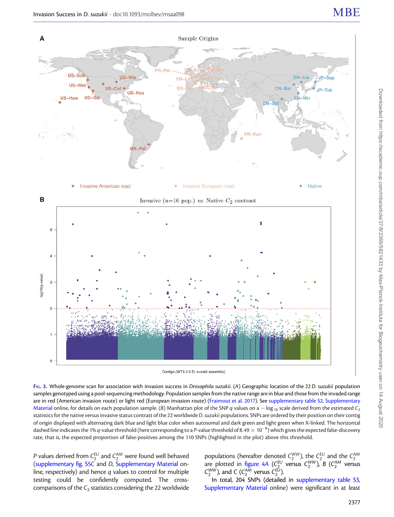<span id="page-8-0"></span>



FIG. 3. Whole-genome scan for association with invasion success in Drosophila suzukii. (A) Geographic location of the 22 D. suzukii population samples genotyped using a pool-sequencing methodology. Population samples from the native range are in blue and those from the invaded range are in red (American invasion route) or light red (European invasion route) ([Fraimout et al. 2017\)](#page-15-0). See [supplementary table S2](https://academic.oup.com/mbe/article-lookup/doi/10.1093/molbev/msaa098#supplementary-data), [Supplementary](https://academic.oup.com/mbe/article-lookup/doi/10.1093/molbev/msaa098#supplementary-data) [Material](https://academic.oup.com/mbe/article-lookup/doi/10.1093/molbev/msaa098#supplementary-data) online, for details on each population sample. (B) Manhattan plot of the SNP q values on a  $-$  log 10 scale derived from the estimated  $C_2$ statistics for the native versus invasive status contrast of the 22 worldwide D. suzukii populations. SNPs are ordered by their position on their contig of origin displayed with alternating dark blue and light blue color when autosomal and dark green and light green when X-linked. The horizontal dashed line indicates the 1% q-value threshold (here corresponding to a P-value threshold of 8.49  $\times$  10<sup>-8</sup>) which gives the expected false-discovery rate, that is, the expected proportion of false-positives among the 110 SNPs (highlighted in the plot) above this threshold.

*P* values derived from  $C_2^{EU}$  and  $C_2^{AM}$  were found well behaved ([supplementary fig. S5](https://academic.oup.com/mbe/article-lookup/doi/10.1093/molbev/msaa098#supplementary-data)C and D, [Supplementary Material](https://academic.oup.com/mbe/article-lookup/doi/10.1093/molbev/msaa098#supplementary-data) online, respectively) and hence q values to control for multiple testing could be confidently computed. The crosscomparisons of the  $C_2$  statistics considering the 22 worldwide

populations (hereafter denoted  $C_2^{WW}$ ), the  $C_2^{EU}$  and the  $C_2^{AM}$  versus are plotted in [figure 4](#page-9-0)A ( $C_2^{EU}$  versus  $C_2^{WW}$ ), B ( $C_2^{AM}$  versus  $C_2^{WW}$ ), and C ( $C_2^{AM}$  versus  $C_2^{EU}$ ).

In total, 204 SNPs (detailed in [supplementary table S3,](https://academic.oup.com/mbe/article-lookup/doi/10.1093/molbev/msaa098#supplementary-data) [Supplementary Material](https://academic.oup.com/mbe/article-lookup/doi/10.1093/molbev/msaa098#supplementary-data) online) were significant in at least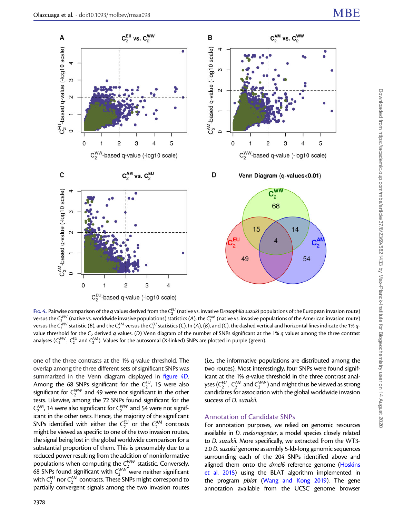<span id="page-9-0"></span>

Fig. 4. Pairwise comparison of the q values derived from the  $C_2^{EU}$  (native vs. invasive Drosophila suzuki populations of the European invasion route) versus the  $C_2^{WW}$  (native vs. worldwide invasive populations) statistics (A), the  $C_2^{AM}$  (native vs. invasive populations of the American invasion route) versus the  $C_2^{WW}$  statistic (B), and the  $C_2^{AM}$  versus the  $C_2^{EU}$  statistics (C). In (A), (B), and (C), the dashed vertical and horizontal lines indicate the 1%  $q$ value threshold for the  $C_2$  derived q values. (D) Venn diagram of the number of SNPs significant at the 1% q values among the three contrast analyses ( $C_2^{WW},\ C_2^{EU}$  and  $C_2^{AM}$ ). Values for the autosomal (X-linked) SNPs are plotted in purple (green).

one of the three contrasts at the 1% q-value threshold. The overlap among the three different sets of significant SNPs was summarized in the Venn diagram displayed in figure 4D. Among the 68 SNPs significant for the  $C_2^{EU}$ , 15 were also significant for  $C_2^{WW}$  and 49 were not significant in the other tests. Likewise, among the 72 SNPs found significant for the  $C_2^{AM}$ , 14 were also significant for  $C_2^{WW}$  and 54 were not significant in the other tests. Hence, the majority of the significant SNPs identified with either the  $\mathsf{C}_2^{\mathsf{EU}}$  or the  $\mathsf{C}_2^{\mathsf{AM}}$  contrasts might be viewed as specific to one of the two invasion routes, the signal being lost in the global worldwide comparison for a substantial proportion of them. This is presumably due to a reduced power resulting from the addition of noninformative populations when computing the  $C_{2}^{WW}$  statistic. Conversely, 68 SNPs found significant with  $C_2^{WW}$  were neither significant with  $\zeta_2^{\text{EU}}$  nor  $\zeta_2^{\text{AM}}$  contrasts. These SNPs might correspond to partially convergent signals among the two invasion routes

(i.e., the informative populations are distributed among the two routes). Most interestingly, four SNPs were found significant at the 1% q-value threshold in the three contrast analyses ( $C_2^{EU}$ ,  $C_2^{AM}$  and  $C_2^{WW}$ ) and might thus be viewed as strong candidates for association with the global worldwide invasion success of D. suzukii.

## Annotation of Candidate SNPs

For annotation purposes, we relied on genomic resources available in D. melanogaster, a model species closely related to D. suzukii. More specifically, we extracted from the WT3- 2.0 D. suzukii genome assembly 5-kb-long genomic sequences surrounding each of the 204 SNPs identified above and aligned them onto the *dmel*6 reference genome [\(Hoskins](#page-16-0) [et al. 2015\)](#page-16-0) using the BLAT algorithm implemented in the program pblat ([Wang and Kong 2019\)](#page-16-0). The gene annotation available from the UCSC genome browser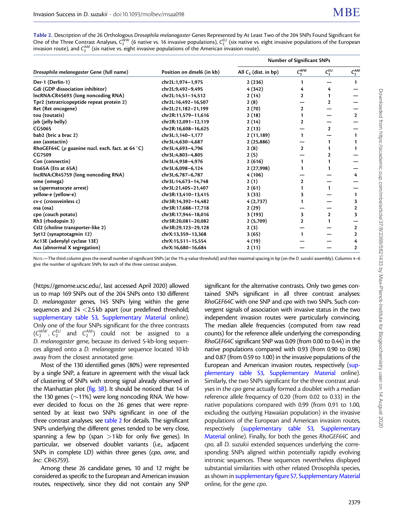| Table 2. Description of the 26 Orthologous Drosophila melanogaster Genes Represented by At Least Two of the 204 SNPs Found Significant for                   |
|--------------------------------------------------------------------------------------------------------------------------------------------------------------|
| One of the Three Contrast Analyses, $C_2^{WW}$ (6 native vs. 16 invasive populations), $C_2^{EU}$ (six native vs. eight invasive populations of the European |
| invasion route), and $C_2^{\text{AM}}$ (six native vs. eight invasive populations of the American invasion route).                                           |

|                                                        |                           | <b>Number of Significant SNPs</b> |                |              |              |
|--------------------------------------------------------|---------------------------|-----------------------------------|----------------|--------------|--------------|
| Drosophila melanogaster Gene (full name)               | Position on dmel6 (in kb) | All $C_2$ (dist. in bp)           | $C_2^{WW}$     | $C_2^{EU}$   | $C_2^{AM}$   |
| Der-1 (Derlin-1)                                       | chr2L:1,974-1,975         | 2(236)                            | 1              |              | $\mathbf{1}$ |
| Gdi (GDP dissociation inhibitor)                       | chr2L:9,492-9,495         | 4(342)                            | 4              | 4            |              |
| IncRNA:CR45693 (long noncoding RNA)                    | chr2L:14,51-14,512        | 2(14)                             | 2              |              |              |
| Tpr2 (tetratricopeptide repeat protein 2)              | chr2L:16,492-16,507       | 2(8)                              |                | $\mathbf{2}$ |              |
| Ret (Ret oncogene)                                     | chr2L:21,182-21,199       | 2(70)                             | $\overline{2}$ |              |              |
| tou (toutatis)                                         | chr2R:11,579-11,616       | 2(18)                             | 1              |              | $\mathbf{2}$ |
| jeb (jelly belly)                                      | chr2R:12,091-12,119       | 2(14)                             | $\mathbf{2}$   |              |              |
| CG5065                                                 | chr2R:16,608-16,625       | 2(13)                             |                | $\mathbf{2}$ |              |
| bab2 (bric a brac 2)                                   | chr3L:1,140-1,177         | 2(11,189)                         | 1              |              | 1            |
| axo (axotactin)                                        | chr3L:4,630-4,687         | 2(25,886)                         |                |              |              |
| RhoGEF64C ( $\rho$ guanine nucl. exch. fact. at 64 °C) | chr3L:4,693-4,796         | 2(8)                              | $\mathbf{2}$   |              | 1            |
| CG7509                                                 | chr3L:4,803-4,805         | 2(5)                              |                | 2            |              |
| Con (connectin)                                        | chr3L:4,938-4,976         | 2(616)                            | 1              |              |              |
| Ets65A (Ets at 65A)                                    | chr3L:6,098-6,124         | 2(27,998)                         | 1              |              |              |
| IncRNA:CR45759 (long noncoding RNA)                    | chr3L:6,787-6,787         | 4(106)                            |                |              | 4            |
| ome (omega)                                            | chr3L:14,673-14,748       | 2(1)                              | $\mathbf{2}$   |              |              |
| sa (spermatocyte arrest)                               | chr3L:21,405-21,407       | 2(61)                             |                |              |              |
| yellow-e (yellow-e)                                    | chr3R:13,410-13,415       | 3(33)                             | 3              |              | 1            |
| cv-c (crossveinless c)                                 | chr3R:14,392-14,482       | 4(2,737)                          |                |              | 3            |
| osa (osa)                                              | chr3R:17,688-17,718       | 2(29)                             |                |              | $\mathbf{2}$ |
| cpo (couch potato)                                     | chr3R:17,944-18,016       | 3 (193)                           | 3              | $\mathbf{2}$ | 3            |
| Rh3 (rhodopsin 3)                                      | chr3R:20,081-20,082       | 2(5,709)                          | 2              |              |              |
| Ctl2 (choline transporter-like 2)                      | chr3R:29,123-29,128       | 2(3)                              |                |              | $\mathbf{2}$ |
| Syt12 (synaptotagmin 12)                               | chrX:13,359-13,368        | 3(65)                             | 1              |              | $\mathbf{2}$ |
| Ac13E (adenylyl cyclase 13E)                           | chrX:15,511-15,554        | 4 (19)                            |                |              | 4            |
| Axs (abnormal X segregation)                           | chrX:16,680-16,684        | 2(11)                             |                |              | 2            |

NOTE.—The third column gives the overall number of significant SNPs (at the 1% q-value threshold) and their maximal spacing in bp (on the D. suzukii assembly). Columns 4–6 give the number of significant SNPs for each of the three contrast analyses.

(https://genome.ucsc.edu/, last accessed April 2020) allowed us to map 169 SNPs out of the 204 SNPs onto 130 different D. melanogaster genes, 145 SNPs lying within the gene sequences and 24 <2.5 kb apart (our predefined threshold; [supplementary table S3](https://academic.oup.com/mbe/article-lookup/doi/10.1093/molbev/msaa098#supplementary-data), [Supplementary Material](https://academic.oup.com/mbe/article-lookup/doi/10.1093/molbev/msaa098#supplementary-data) online). Only one of the four SNPs significant for the three contrasts  $(C_2^{WW}, C_2^{EU}$  and  $C_2^{AM}$ ) could not be assigned to a D. melanogaster gene, because its derived 5-kb-long sequences aligned onto a D. melanogaster sequence located 10 kb away from the closest annotated gene.

Most of the 130 identified genes (80%) were represented by a single SNP, a feature in agreement with the visual lack of clustering of SNPs with strong signal already observed in the Manhattan plot [\(fig. 3](#page-8-0)B). It should be noticed that 14 of the 130 genes ( $\sim$ 11%) were long noncoding RNA. We however decided to focus on the 26 genes that were represented by at least two SNPs significant in one of the three contrast analyses; see table 2 for details. The significant SNPs underlying the different genes tended to be very close, spanning a few bp (span  $>1$  kb for only five genes). In particular, we observed doublet variants (i.e., adjacent SNPs in complete LD) within three genes (cpo, ome, and lnc: CR45759).

Among these 26 candidate genes, 10 and 12 might be considered as specific to the European and American invasion routes, respectively, since they did not contain any SNP

significant for the alternative contrasts. Only two genes contained SNPs significant in all three contrast analyses: RhoGEF64C with one SNP and cpo with two SNPs. Such convergent signals of association with invasive status in the two independent invasion routes were particularly convincing. The median allele frequencies (computed from raw read counts) for the reference allele underlying the corresponding RhoGEF64C significant SNP was 0.09 (from 0.00 to 0.44) in the native populations compared with 0.93 (from 0.90 to 0.98) and 0.87 (from 0.59 to 1.00) in the invasive populations of the European and American invasion routes, respectively ([sup](https://academic.oup.com/mbe/article-lookup/doi/10.1093/molbev/msaa098#supplementary-data)[plementary table S3,](https://academic.oup.com/mbe/article-lookup/doi/10.1093/molbev/msaa098#supplementary-data) [Supplementary Material](https://academic.oup.com/mbe/article-lookup/doi/10.1093/molbev/msaa098#supplementary-data) online). Similarly, the two SNPs significant for the three contrast analyses in the *cpo* gene actually formed a doublet with a median reference allele frequency of 0.20 (from 0.02 to 0.33) in the native populations compared with 0.99 (from 0.91 to 1.00, excluding the outlying Hawaiian population) in the invasive populations of the European and American invasion routes, respectively [\(supplementary table S3,](https://academic.oup.com/mbe/article-lookup/doi/10.1093/molbev/msaa098#supplementary-data) [Supplementary](https://academic.oup.com/mbe/article-lookup/doi/10.1093/molbev/msaa098#supplementary-data) [Material](https://academic.oup.com/mbe/article-lookup/doi/10.1093/molbev/msaa098#supplementary-data) online). Finally, for both the genes RhoGEF64C and cpo, all D. suzukii extended sequences underlying the corresponding SNPs aligned within potentially rapidly evolving intronic sequences. These sequences nevertheless displayed substantial similarities with other related Drosophila species, as shown in [supplementary figure S7](https://academic.oup.com/mbe/article-lookup/doi/10.1093/molbev/msaa098#supplementary-data), [Supplementary Material](https://academic.oup.com/mbe/article-lookup/doi/10.1093/molbev/msaa098#supplementary-data) online, for the gene cpo.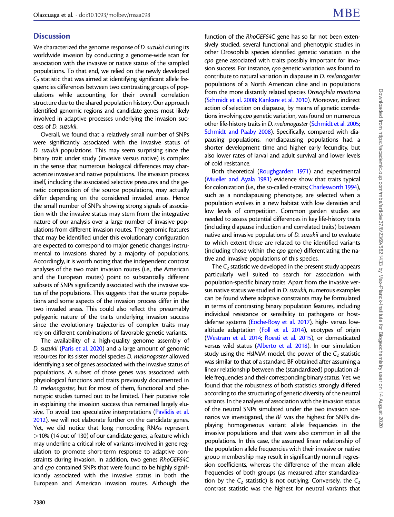# **Discussion**

We characterized the genome response of D. suzukii during its worldwide invasion by conducting a genome-wide scan for association with the invasive or native status of the sampled populations. To that end, we relied on the newly developed  $C_2$  statistic that was aimed at identifying significant allele frequencies differences between two contrasting groups of populations while accounting for their overall correlation structure due to the shared population history. Our approach identified genomic regions and candidate genes most likely involved in adaptive processes underlying the invasion success of D. suzukii.

Overall, we found that a relatively small number of SNPs were significantly associated with the invasive status of D. suzukii populations. This may seem surprising since the binary trait under study (invasive versus native) is complex in the sense that numerous biological differences may characterize invasive and native populations. The invasion process itself, including the associated selective pressures and the genetic composition of the source populations, may actually differ depending on the considered invaded areas. Hence the small number of SNPs showing strong signals of association with the invasive status may stem from the integrative nature of our analysis over a large number of invasive populations from different invasion routes. The genomic features that may be identified under this evolutionary configuration are expected to correspond to major genetic changes instrumental to invasions shared by a majority of populations. Accordingly, it is worth noting that the independent contrast analyses of the two main invasion routes (i.e., the American and the European routes) point to substantially different subsets of SNPs significantly associated with the invasive status of the populations. This suggests that the source populations and some aspects of the invasion process differ in the two invaded areas. This could also reflect the presumably polygenic nature of the traits underlying invasion success since the evolutionary trajectories of complex traits may rely on different combinations of favorable genetic variants.

The availability of a high-quality genome assembly of D. suzukii [\(Paris et al. 2020\)](#page-16-0) and a large amount of genomic resources for its sister model species D. melanogaster allowed identifying a set of genes associated with the invasive status of populations. A subset of those genes was associated with physiological functions and traits previously documented in D. melanogaster, but for most of them, functional and phenotypic studies turned out to be limited. Their putative role in explaining the invasion success thus remained largely elusive. To avoid too speculative interpretations [\(Pavlidis et al.](#page-16-0) [2012\)](#page-16-0), we will not elaborate further on the candidate genes. Yet, we did notice that long noncoding RNAs represent  $>$  10% (14 out of 130) of our candidate genes, a feature which may underline a critical role of variants involved in gene regulation to promote short-term response to adaptive constraints during invasion. In addition, two genes RhoGEF64C and cpo contained SNPs that were found to be highly significantly associated with the invasive status in both the European and American invasion routes. Although the

function of the RhoGEF64C gene has so far not been extensively studied, several functional and phenotypic studies in other Drosophila species identified genetic variation in the cpo gene associated with traits possibly important for invasion success. For instance, cpo genetic variation was found to contribute to natural variation in diapause in D. melanogaster populations of a North American cline and in populations from the more distantly related species Drosophila montana [\(Schmidt et al. 2008;](#page-16-0) [Kankare et al. 2010\)](#page-16-0). Moreover, indirect action of selection on diapause, by means of genetic correlations involving cpo genetic variation, was found on numerous other life-history traits in D. melanogaster [\(Schmidt et al. 2005;](#page-16-0) [Schmidt and Paaby 2008](#page-16-0)). Specifically, compared with diapausing populations, nondiapausing populations had a shorter development time and higher early fecundity, but also lower rates of larval and adult survival and lower levels of cold resistance.

Both theoretical [\(Roughgarden 1971\)](#page-16-0) and experimental [\(Mueller and Ayala 1981](#page-16-0)) evidence show that traits typical for colonization (i.e., the so-called r-traits; [Charlesworth 1994\)](#page-15-0), such as a nondiapausing phenotype, are selected when a population evolves in a new habitat with low densities and low levels of competition. Common garden studies are needed to assess potential differences in key life-history traits (including diapause induction and correlated traits) between native and invasive populations of D. suzukii and to evaluate to which extent these are related to the identified variants (including those within the cpo gene) differentiating the native and invasive populations of this species.

The  $C_2$  statistic we developed in the present study appears particularly well suited to search for association with population-specific binary traits. Apart from the invasive versus native status we studied in D. suzukii, numerous examples can be found where adaptive constraints may be formulated in terms of contrasting binary population features, including individual resistance or sensibility to pathogens or hostdefense systems [\(Eoche-Bosy et al. 2017](#page-15-0)), high- versus lowaltitude adaptation [\(Foll et al. 2014](#page-15-0)), ecotypes of origin [\(Westram et al. 2014;](#page-16-0) [Roesti et al. 2015](#page-16-0)), or domesticated versus wild status [\(Alberto et al. 2018\)](#page-15-0). In our simulation study using the HsIMM model, the power of the  $C_2$  statistic was similar to that of a standard BF obtained after assuming a linear relationship between the (standardized) population allele frequencies and their corresponding binary status. Yet, we found that the robustness of both statistics strongly differed according to the structuring of genetic diversity of the neutral variants. In the analyses of association with the invasion status of the neutral SNPs simulated under the two invasion scenarios we investigated, the BF was the highest for SNPs displaying homogeneous variant allele frequencies in the invasive populations and that were also common in all the populations. In this case, the assumed linear relationship of the population allele frequencies with their invasive or native group membership may result in significantly nonnull regression coefficients, whereas the difference of the mean allele frequencies of both groups (as measured after standardization by the  $C_2$  statistic) is not outlying. Conversely, the  $C_2$ contrast statistic was the highest for neutral variants that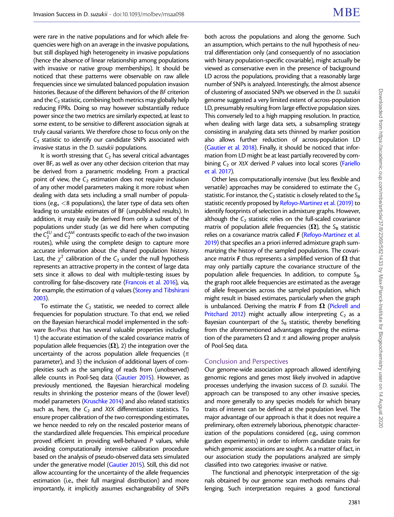were rare in the native populations and for which allele frequencies were high on an average in the invasive populations, but still displayed high heterogeneity in invasive populations (hence the absence of linear relationship among populations with invasive or native group memberships). It should be noticed that these patterns were observable on raw allele frequencies since we simulated balanced population invasion histories. Because of the different behaviors of the BF criterion and the  $C_2$  statistic, combining both metrics may globally help reducing FPRs. Doing so may however substantially reduce power since the two metrics are similarly expected, at least to some extent, to be sensitive to different association signals at truly causal variants. We therefore chose to focus only on the  $C<sub>2</sub>$  statistic to identify our candidate SNPs associated with invasive status in the D. suzukii populations.

It is worth stressing that  $C_2$  has several critical advantages over BF, as well as over any other decision criterion that may be derived from a parametric modeling. From a practical point of view, the  $C_2$  estimation does not require inclusion of any other model parameters making it more robust when dealing with data sets including a small number of populations (e.g.,  $\lt 8$  populations), the later type of data sets often leading to unstable estimates of BF (unpublished results). In addition, it may easily be derived from only a subset of the populations under study (as we did here when computing the  $\mathsf{C}_2^\mathsf{EU}$  and  $\mathsf{C}_2^\mathsf{AM}$  contrasts specific to each of the two invasion routes), while using the complete design to capture more accurate information about the shared population history. Last, the  $\chi^2$  calibration of the C<sub>2</sub> under the null hypothesis represents an attractive property in the context of large data sets since it allows to deal with multiple-testing issues by controlling for false-discovery rate ([Francois et al. 2016](#page-15-0)), via, for example, the estimation of q values [\(Storey and Tibshirani](#page-16-0) [2003\)](#page-16-0).

To estimate the  $C_2$  statistic, we needed to correct allele frequencies for population structure. To that end, we relied on the Bayesian hierarchical model implemented in the software BAYPASS that has several valuable properties including 1) the accurate estimation of the scaled covariance matrix of population allele frequencies  $(\Omega)$ , 2) the integration over the uncertainty of the across population allele frequencies ( $\pi$ parameter), and 3) the inclusion of additional layers of complexities such as the sampling of reads from (unobserved) allele counts in Pool-Seq data ([Gautier 2015\)](#page-16-0). However, as previously mentioned, the Bayesian hierarchical modeling results in shrinking the posterior means of the (lower level) model parameters [\(Kruschke 2014\)](#page-16-0) and also related statistics such as, here, the  $C_2$  and XtX differentiation statistics. To ensure proper calibration of the two corresponding estimates, we hence needed to rely on the rescaled posterior means of the standardized allele frequencies. This empirical procedure proved efficient in providing well-behaved P values, while avoiding computationally intensive calibration procedure based on the analysis of pseudo-observed data sets simulated under the generative model ([Gautier 2015\)](#page-16-0). Still, this did not allow accounting for the uncertainty of the allele frequencies estimation (i.e., their full marginal distribution) and more importantly, it implicitly assumes exchangeability of SNPs

both across the populations and along the genome. Such an assumption, which pertains to the null hypothesis of neutral differentiation only (and consequently of no association with binary population-specific covariable), might actually be viewed as conservative even in the presence of background LD across the populations, providing that a reasonably large number of SNPs is analyzed. Interestingly, the almost absence of clustering of associated SNPs we observed in the D. suzukii genome suggested a very limited extent of across-population LD, presumably resulting from large effective population sizes. This conversely led to a high mapping resolution. In practice, when dealing with large data sets, a subsampling strategy consisting in analyzing data sets thinned by marker position also allows further reduction of across-population LD [\(Gautier et al. 2018\)](#page-16-0). Finally, it should be noticed that information from LD might be at least partially recovered by combining  $C_2$  or XtX derived P values into local scores [\(Fariello](#page-15-0) [et al. 2017](#page-15-0)).

Other less computationally intensive (but less flexible and versatile) approaches may be considered to estimate the  $C_2$ statistic. For instance, the  $C_2$  statistic is closely related to the  $S_B$ statistic recently proposed by [Refoyo-Martinez et al. \(2019\)](#page-16-0) to identify footprints of selection in admixture graphs. However, although the  $C_2$  statistic relies on the full-scaled covariance matrix of population allele frequencies ( $\Omega$ ), the S<sub>B</sub> statistic relies on a covariance matrix called  $F$  [\(Refoyo-Martinez et al.](#page-16-0) [2019\)](#page-16-0) that specifies an a priori inferred admixture graph summarizing the history of the sampled populations. The covariance matrix F thus represents a simplified version of  $\Omega$  that may only partially capture the covariance structure of the population allele frequencies. In addition, to compute  $S_{B}$ , the graph root allele frequencies are estimated as the average of allele frequencies across the sampled population, which might result in biased estimates, particularly when the graph is unbalanced. Deriving the matrix F from  $\Omega$  [\(Pickrell and](#page-16-0) [Pritchard 2012\)](#page-16-0) might actually allow interpreting  $C_2$  as a Bayesian counterpart of the  $S_B$  statistic, thereby benefiting from the aforementioned advantages regarding the estimation of the parameters  $\Omega$  and  $\pi$  and allowing proper analysis of Pool-Seq data.

#### Conclusion and Perspectives

Our genome-wide association approach allowed identifying genomic regions and genes most likely involved in adaptive processes underlying the invasion success of D. suzukii. The approach can be transposed to any other invasive species, and more generally to any species models for which binary traits of interest can be defined at the population level. The major advantage of our approach is that it does not require a preliminary, often extremely laborious, phenotypic characterization of the populations considered (e.g., using common garden experiments) in order to inform candidate traits for which genomic associations are sought. As a matter of fact, in our association study the populations analyzed are simply classified into two categories: invasive or native.

The functional and phenotypic interpretation of the signals obtained by our genome scan methods remains challenging. Such interpretation requires a good functional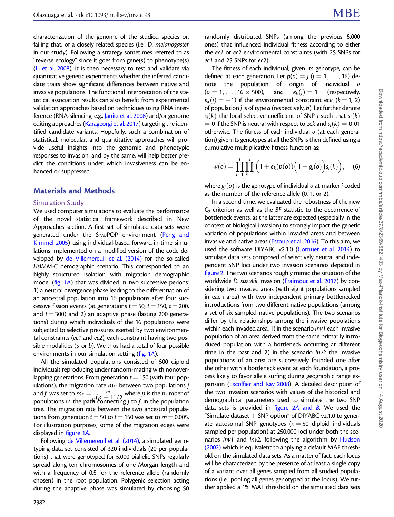characterization of the genome of the studied species or, failing that, of a closely related species (i.e., D. melanogaster in our study). Following a strategy sometimes referred to as "reverse ecology" since it goes from gene(s) to phenotype(s) ([Li et al. 2008\)](#page-16-0), it is then necessary to test and validate via quantitative genetic experiments whether the inferred candidate traits show significant differences between native and invasive populations. The functional interpretation of the statistical association results can also benefit from experimental validation approaches based on techniques using RNA interference (RNA-silencing, e.g., [Janitz et al. 2006](#page-16-0)) and/or genome editing approaches ([Karageorgi et al. 2017](#page-16-0)) targeting the identified candidate variants. Hopefully, such a combination of statistical, molecular, and quantitative approaches will provide useful insights into the genomic and phenotypic responses to invasion, and by the same, will help better predict the conditions under which invasiveness can be enhanced or suppressed.

#### Materials and Methods

#### Simulation Study

We used computer simulations to evaluate the performance of the novel statistical framework described in New Approaches section. A first set of simulated data sets were generated under the SIMUPOP environment [\(Peng and](#page-16-0) [Kimmel 2005\)](#page-16-0) using individual-based forward-in-time simulations implemented on a modified version of the code developed by [de Villemereuil et al. \(2014\)](#page-15-0) for the so-called HsIMM-C demographic scenario. This corresponded to an highly structured isolation with migration demographic model [\(fig. 1](#page-4-0)A) that was divided in two successive periods: 1) a neutral divergence phase leading to the differentiation of an ancestral population into 16 populations after four successive fission events (at generations  $t = 50$ ,  $t = 150$ ,  $t = 200$ , and  $t = 300$ ) and 2) an adaptive phase (lasting 200 generations) during which individuals of the 16 populations were subjected to selective pressures exerted by two environmental constraints (ec1 and ec2), each constraint having two possible modalities (a or b). We thus had a total of four possible environments in our simulation setting ([fig. 1](#page-4-0)A).

All the simulated populations consisted of 500 diploid individuals reproducing under random-mating with nonoverlapping generations. From generation  $t = 150$  (with four populations), the migration rate  $m_{jj'}$  between two populations j and j' was set to  $m_{jj} = \frac{m}{(p+1)/2}$  where  $p$  is the number of populations in the path connecting j to j' in the population tree. The migration rate between the two ancestral populations from generation  $t = 50$  to  $t = 150$  was set to  $m = 0.005$ . For illustration purposes, some of the migration edges were displayed in [figure 1](#page-4-0)A.

Following [de Villemereuil et al. \(2014\)](#page-15-0), a simulated genotyping data set consisted of 320 individuals (20 per populations) that were genotyped for 5,000 biallelic SNPs regularly spread along ten chromosomes of one Morgan length and with a frequency of 0.5 for the reference allele (randomly chosen) in the root population. Polygenic selection acting during the adaptive phase was simulated by choosing 50

randomly distributed SNPs (among the previous 5,000 ones) that influenced individual fitness according to either the ec1 or ec2 environmental constraints (with 25 SNPs for ec1 and 25 SNPs for ec2).

The fitness of each individual, given its genotype, can be defined at each generation. Let  $p(o) = j$  ( $j = 1, ..., 16$ ) denote the population of origin of individual  $(o = 1, \ldots, 16 \times 500)$ , and  $e_k(j) = 1$  (respectively,  $e_k(j) = -1$ ) if the environmental constraint eck (k = 1, 2) of population  $j$  is of type  $a$  (respectively,  $b$ ). Let further denote  $s_i(k)$  the local selective coefficient of SNP i such that  $s_i(k)$  $\lambda = 0$  if the SNP is neutral with respect to eck and  $s_i(k) = 0.01$ otherwise. The fitness of each individual o (at each generation) given its genotypes at all the SNPs is then defined using a cumulative multiplicative fitness function as:

$$
w(o) = \prod_{i=1}^{l} \prod_{k=1}^{2} \Big( 1 + e_k(p(o)) \Big( 1 - g_i(o) \Big) s_i(k) \Big), \quad (6)
$$

where  $g_i(o)$  is the genotype of individual o at marker i coded as the number of the reference allele (0, 1, or 2).

In a second time, we evaluated the robustness of the new  $C<sub>2</sub>$  criterion as well as the BF statistic to the occurrence of bottleneck events, as the latter are expected (especially in the context of biological invasion) to strongly impact the genetic variation of populations within invaded areas and between invasive and native areas [\(Estoup et al. 2016](#page-15-0)). To this aim, we used the software DIYABC v2.1.0 [\(Cornuet et al. 2014\)](#page-15-0) to simulate data sets composed of selectively neutral and independent SNP loci under two invasion scenarios depicted in [figure 2.](#page-5-0) The two scenarios roughly mimic the situation of the worldwide D. suzukii invasion [\(Fraimout et al. 2017\)](#page-15-0) by considering two invaded areas (with eight populations sampled in each area) with two independent primary bottlenecked introductions from two different native populations (among a set of six sampled native populations). The two scenarios differ by the relationships among the invasive populations within each invaded area: 1) in the scenario *Inv1* each invasive population of an area derived from the same primarily introduced population with a bottleneck occurring at different time in the past and 2) in the scenario  $Inv2$  the invasive populations of an area are successively founded one after the other with a bottleneck event at each foundation, a process likely to favor allele surfing during geographic range expansion ([Excoffier and Ray 2008](#page-15-0)). A detailed description of the two invasion scenarios with values of the historical and demographical parameters used to simulate the two SNP data sets is provided in figure  $2A$  and  $B$ . We used the "Simulate dataset  $+$  SNP option" of DIYABC v2.1.0 to generate autosomal SNP genotypes ( $n = 50$  diploid individuals sampled per population) at 250,000 loci under both the scenarios  $Inv1$  and  $Inv2$ , following the algorithm by [Hudson](#page-16-0) [\(2002\)](#page-16-0) which is equivalent to applying a default MAF threshold on the simulated data sets. As a matter of fact, each locus will be characterized by the presence of at least a single copy of a variant over all genes sampled from all studied populations (i.e., pooling all genes genotyped at the locus). We further applied a 1% MAF threshold on the simulated data sets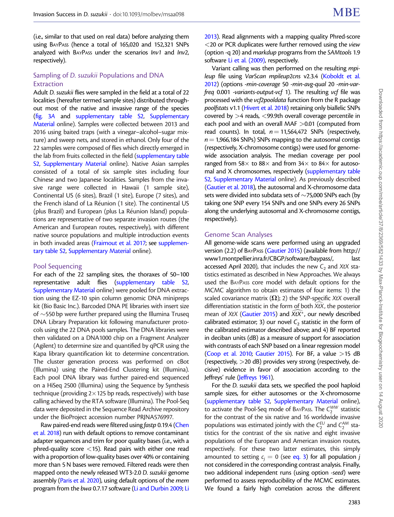(i.e., similar to that used on real data) before analyzing them using BAYPASS (hence a total of 165,020 and 152,321 SNPs analyzed with BAYPASS under the scenarios Inv1 and Inv2, respectively).

## Sampling of D. suzukii Populations and DNA Extraction

Adult D. suzukii flies were sampled in the field at a total of 22 localities (hereafter termed sample sites) distributed throughout most of the native and invasive range of the species ([fig. 3](#page-8-0)A and [supplementary table S2,](https://academic.oup.com/mbe/article-lookup/doi/10.1093/molbev/msaa098#supplementary-data) [Supplementary](https://academic.oup.com/mbe/article-lookup/doi/10.1093/molbev/msaa098#supplementary-data) [Material](https://academic.oup.com/mbe/article-lookup/doi/10.1093/molbev/msaa098#supplementary-data) online). Samples were collected between 2013 and 2016 using baited traps (with a vinegar–alcohol–sugar mixture) and sweep nets, and stored in ethanol. Only four of the 22 samples were composed of flies which directly emerged in the lab from fruits collected in the field [\(supplementary table](https://academic.oup.com/mbe/article-lookup/doi/10.1093/molbev/msaa098#supplementary-data) [S2](https://academic.oup.com/mbe/article-lookup/doi/10.1093/molbev/msaa098#supplementary-data), [Supplementary Material](https://academic.oup.com/mbe/article-lookup/doi/10.1093/molbev/msaa098#supplementary-data) online). Native Asian samples consisted of a total of six sample sites including four Chinese and two Japanese localities. Samples from the invasive range were collected in Hawaii (1 sample site), Continental US (6 sites), Brazil (1 site), Europe (7 sites), and the French island of La Réunion (1 site). The continental US (plus Brazil) and European (plus La Réunion Island) populations are representative of two separate invasion routes (the American and European routes, respectively), with different native source populations and multiple introduction events in both invaded areas ([Fraimout et al. 2017](#page-15-0); see [supplemen](https://academic.oup.com/mbe/article-lookup/doi/10.1093/molbev/msaa098#supplementary-data)[tary table S2](https://academic.oup.com/mbe/article-lookup/doi/10.1093/molbev/msaa098#supplementary-data), [Supplementary Material](https://academic.oup.com/mbe/article-lookup/doi/10.1093/molbev/msaa098#supplementary-data) online).

#### Pool Sequencing

For each of the 22 sampling sites, the thoraxes of 50–100 representative adult flies [\(supplementary table S2,](https://academic.oup.com/mbe/article-lookup/doi/10.1093/molbev/msaa098#supplementary-data) [Supplementary Material](https://academic.oup.com/mbe/article-lookup/doi/10.1093/molbev/msaa098#supplementary-data) online) were pooled for DNA extraction using the EZ-10 spin column genomic DNA minipreps kit (Bio Basic Inc.). Barcoded DNA PE libraries with insert size of  $\sim$  550 bp were further prepared using the Illumina Truseq DNA Library Preparation kit following manufacturer protocols using the 22 DNA pools samples. The DNA libraries were then validated on a DNA1000 chip on a Fragment Analyzer (Agilent) to determine size and quantified by qPCR using the Kapa library quantification kit to determine concentration. The cluster generation process was performed on cBot (Illumina) using the Paired-End Clustering kit (Illumina). Each pool DNA library was further paired-end sequenced on a HiSeq 2500 (Illumina) using the Sequence by Synthesis technique (providing  $2\times125$  bp reads, respectively) with base calling achieved by the RTA software (Illumina). The Pool-Seq data were deposited in the Sequence Read Archive repository under the BioProject accession number PRJNA576997.

Raw paired-end reads were filtered using fastp 0.19.4 [\(Chen](#page-15-0) [et al. 2018\)](#page-15-0) run with default options to remove contaminant adapter sequences and trim for poor quality bases (i.e., with a phred-quality score  $\langle 15 \rangle$ . Read pairs with either one read with a proportion of low-quality bases over 40% or containing more than 5 N bases were removed. Filtered reads were then mapped onto the newly released WT3-2.0 D. suzukii genome assembly ([Paris et al. 2020\)](#page-16-0), using default options of the mem program from the bwa 0.7.17 software [\(Li and Durbin 2009](#page-16-0); [Li](#page-16-0)

[2013\)](#page-16-0). Read alignments with a mapping quality Phred-score  $<$  20 or PCR duplicates were further removed using the view (option -q 20) and markdup programs from the SAMtools 1.9 software [Li et al. \(2009\)](#page-16-0), respectively.

Variant calling was then performed on the resulting mpi-leup file using VarScan mpileup2cns v2.3.4 [\(Koboldt et al.](#page-16-0) [2012\)](#page-16-0) (options -min-coverage 50 -min-avg-qual 20 -min-varfreq 0.001 -variants-output-vcf 1). The resulting vcf file was processed with the vcf2pooldata function from the R package poolfstats v1.1 [\(Hivert et al. 2018](#page-16-0)) retaining only biallelic SNPs covered by >4 reads, <99.9th overall coverage percentile in each pool and with an overall MAF >0.01 (computed from read counts). In total,  $n = 11,564,472$  SNPs (respectively,  $n = 1,966,184$  SNPs) SNPs mapping to the autosomal contigs (respectively, X-chromosome contigs) were used for genomewide association analysis. The median coverage per pool ranged from 58 $\times$  to 88 $\times$  and from 34 $\times$  to 84 $\times$  for autosomal and X chromosomes, respectively [\(supplementary table](https://academic.oup.com/mbe/article-lookup/doi/10.1093/molbev/msaa098#supplementary-data) [S2](https://academic.oup.com/mbe/article-lookup/doi/10.1093/molbev/msaa098#supplementary-data), [Supplementary Material](https://academic.oup.com/mbe/article-lookup/doi/10.1093/molbev/msaa098#supplementary-data) online). As previously described [\(Gautier et al. 2018](#page-16-0)), the autosomal and X-chromosome data sets were divided into subdata sets of  $\sim$ 75,000 SNPs each (by taking one SNP every 154 SNPs and one SNPs every 26 SNPs along the underlying autosomal and X-chromosome contigs, respectively).

#### Genome Scan Analyses

All genome-wide scans were performed using an upgraded version (2.2) of BAYPASS ([Gautier 2015](#page-16-0)) (available from [http://](http://www1.montpellier.inra.fr/CBGP/software/baypass/) [www1.montpellier.inra.fr/CBGP/software/baypass/, last](http://www1.montpellier.inra.fr/CBGP/software/baypass/) [accessed April 2020\)](http://www1.montpellier.inra.fr/CBGP/software/baypass/), that includes the new  $C_2$  and XtX statistics estimated as described in New Approaches. We always used the BAYPASS core model with default options for the MCMC algorithm to obtain estimates of four items: 1) the scaled covariance matrix  $(\Omega)$ ; 2) the SNP-specific XtX overall differentiation statistic in the form of both  $X_tX_t$ , the posterior mean of XtX ([Gautier 2015](#page-16-0)) and  $\bar{X}$ tX<sup>\*</sup>, our newly described calibrated estimator; 3) our novel  $C_2$  statistic in the form of the calibrated estimator described above; and 4) BF reported in deciban units (dB) as a measure of support for association with contrasts of each SNP based on a linear regression model [\(Coop et al. 2010;](#page-15-0) [Gautier 2015](#page-16-0)). For BF, a value  $>$ 15 dB (respectively, >20 dB) provides very strong (respectively, decisive) evidence in favor of association according to the Jeffreys' rule [\(Jeffreys 1961](#page-16-0)).

For the D. suzukii data sets, we specified the pool haploid sample sizes, for either autosomes or the X-chromosome [\(supplementary table S2](https://academic.oup.com/mbe/article-lookup/doi/10.1093/molbev/msaa098#supplementary-data), [Supplementary Material](https://academic.oup.com/mbe/article-lookup/doi/10.1093/molbev/msaa098#supplementary-data) online), to activate the Pool-Seq mode of BAYPASS. The  $C_2^{WW}$  statistic for the contrast of the six native and 16 worldwide invasive populations was estimated jointly with the  $C_2^{EU}$  and  $C_2^{AM}$  statistics for the contrast of the six native and eight invasive populations of the European and American invasion routes, respectively. For these two latter estimates, this simply amounted to setting  $c_i = 0$  (see [eq. 3](#page-2-0)) for all population j not considered in the corresponding contrast analysis. Finally, two additional independent runs (using option -seed) were performed to assess reproducibility of the MCMC estimates. We found a fairly high correlation across the different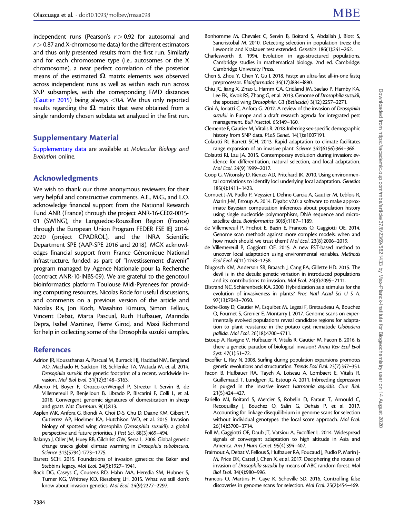<span id="page-15-0"></span>independent runs (Pearson's  $r > 0.92$  for autosomal and  $r > 0.87$  and X-chromosome data) for the different estimators and thus only presented results from the first run. Similarly and for each chromosome type (i.e., autosomes or the X chromosome), a near perfect correlation of the posterior means of the estimated  $\Omega$  matrix elements was observed across independent runs as well as within each run across SNP subsamples, with the corresponding FMD distances ([Gautier 2015](#page-16-0)) being always  $< 0.4$ . We thus only reported results regarding the  $\Omega$  matrix that were obtained from a single randomly chosen subdata set analyzed in the first run.

# Supplementary Material

[Supplementary data](https://academic.oup.com/mbe/article-lookup/doi/10.1093/molbev/msaa098#supplementary-data) are available at Molecular Biology and Evolution online.

# Acknowledgments

We wish to thank our three anonymous reviewers for their very helpful and constructive comments. A.E., M.G., and L.O. acknowledge financial support from the National Research Fund ANR (France) through the project ANR-16-CE02-0015- 01 (SWING), the Languedoc-Roussillon Region (France) through the European Union Program FEDER FSE IEJ 2014- 2020 (project CPADROL), and the INRA Scientific Department SPE (AAP-SPE 2016 and 2018). MGX acknowledges financial support from France Génomique National infrastructure, funded as part of "Investissement d'avenir" program managed by Agence Nationale pour la Recherche (contract ANR-10-INBS-09). We are grateful to the genotoul bioinformatics platform Toulouse Midi-Pyrenees for providing computing resources, Nicolas Rode for useful discussions, and comments on a previous version of the article and Nicolas Ris, Jon Koch, Masahito Kimura, Simon Fellous, Vincent Debat, Marta Pascual, Ruth Hufbauer, Marindia Depra, Isabel Martinez, Pierre Girod, and Maxi Richmond for help in collecting some of the Drosophila suzukii samples.

## References

- Adrion JR, Kousathanas A, Pascual M, Burrack HJ, Haddad NM, Bergland AO, Machado H, Sackton TB, Schlenke TA, Watada M, et al. 2014. Drosophila suzukii: the genetic footprint of a recent, worldwide invasion. Mol Biol Evol. 31(12):3148–3163.
- Alberto FJ, Boyer F, Orozco-terWengel P, Streeter I, Servin B, de Villemereuil P, Benjelloun B, Librado P, Biscarini F, Colli L, et al. 2018. Convergent genomic signatures of domestication in sheep and goats. Nat Commun. 9(1):813.
- Asplen MK, Anfora G, Biondi A, Choi D-S, Chu D, Daane KM, Gibert P, Gutierrez AP, Hoelmer KA, Hutchison WD, et al. 2015. Invasion biology of spotted wing drosophila (Drosophila suzukii): a global perspective and future priorities. J Pest Sci. 88(3):469–494.
- Balanya J, Oller JM, Huey RB, Gilchrist GW, Serra L. 2006. Global genetic change tracks global climate warming in Drosophila subobscura. Science 313(5794):1773–1775.
- Barrett SCH. 2015. Foundations of invasion genetics: the Baker and Stebbins legacy. Mol Ecol. 24(9):1927–1941.
- Bock DG, Caseys C, Cousens RD, Hahn MA, Heredia SM, Hubner S, Turner KG, Whitney KD, Rieseberg LH. 2015. What we still don't know about invasion genetics. Mol Ecol. 24(9):2277–2297.
- Bonhomme M, Chevalet C, Servin B, Boitard S, Abdallah J, Blott S, Sancristobal M. 2010. Detecting selection in population trees: the Lewontin and Krakauer test extended. Genetics 186(1):241–262.
- Charlesworth B. 1994. Evolution in age-structured populations. Cambridge studies in mathematical biology. 2nd ed. Cambridge: Cambridge University Press.
- Chen S, Zhou Y, Chen Y, Gu J. 2018. Fastp: an ultra-fast all-in-one fastq preprocessor. Bioinformatics 34(17):i884–i890.
- Chiu JC, Jiang X, Zhao L, Hamm CA, Cridland JM, Saelao P, Hamby KA, Lee EK, Kwok RS, Zhang G, et al. 2013. Genome of Drosophila suzukii, the spotted wing Drosophila. G3 (Bethesda) 3(12):2257–2271.
- Cini A, Ioriatti C, Anfora G. 2012. A review of the invasion of Drosophila suzukii in Europe and a draft research agenda for integrated pest management. Bull Insectol. 65:149–160.
- Clemente F, Gautier M, Vitalis R. 2018. Inferring sex-specific demographic history from SNP data. PLoS Genet. 14(1):e1007191.
- Colautti RI, Barrett SCH. 2013. Rapid adaptation to climate facilitates range expansion of an invasive plant. Science 342(6156):364–366.
- Colautti RI, Lau JA. 2015. Contemporary evolution during invasion: evidence for differentiation, natural selection, and local adaptation. Mol Ecol. 24(9):1999–2017.
- Coop G, Witonsky D, Rienzo AD, Pritchard JK. 2010. Using environmental correlations to identify loci underlying local adaptation. Genetics 185(4):1411–1423.
- Cornuet J-M, Pudlo P, Veyssier J, Dehne-Garcia A, Gautier M, Leblois R, Marin J-M, Estoup A. 2014. Diyabc v2.0: a software to make approximate Bayesian computation inferences about population history using single nucleotide polymorphism, DNA sequence and microsatellite data. Bioinformatics 30(8):1187–1189.
- de Villemereuil P, Frichot E, Bazin E, Francois O, Gaggiotti OE. 2014. Genome scan methods against more complex models: when and how much should we trust them? Mol Ecol. 23(8):2006–2019.
- de Villemereuil P, Gaggiotti OE. 2015. A new FST-based method to uncover local adaptation using environmental variables. Methods Ecol Evol. 6(11):1248–1258.
- Dlugosch KM, Anderson SR, Braasch J, Cang FA, Gillette HD. 2015. The devil is in the details: genetic variation in introduced populations and its contributions to invasion. Mol Ecol. 24(9):2095–2111.
- Ellstrand NC, Schierenbeck KA. 2000. Hybridization as a stimulus for the evolution of invasiveness in plants? Proc Natl Acad Sci U S A. 97(13):7043–7050.
- Eoche-Bosy D, Gautier M, Esquibet M, Legeai F, Bretaudeau A, Bouchez O, Fournet S, Grenier E, Montarry J. 2017. Genome scans on experimentally evolved populations reveal candidate regions for adaptation to plant resistance in the potato cyst nematode Globodera pallida. Mol Ecol. 26(18):4700–4711.
- Estoup A, Ravigne V, Hufbauer R, Vitalis R, Gautier M, Facon B. 2016. Is there a genetic paradox of biological invasion? Annu Rev Ecol Evol Syst. 47(1):51–72.
- Excoffier L, Ray N. 2008. Surfing during population expansions promotes genetic revolutions and structuration. Trends Ecol Evol. 23(7):347–351.
- Facon B, Hufbauer RA, Tayeh A, Loiseau A, Lombaert E, Vitalis R, Guillemaud T, Lundgren JG, Estoup A. 2011. Inbreeding depression is purged in the invasive insect Harmonia axyridis. Curr Biol. 21(5):424–427.
- Fariello MI, Boitard S, Mercier S, Robelin D, Faraut T, Arnould C, Recoquillay J, Bouchez O, Salin G, Dehais P, et al. 2017. Accounting for linkage disequilibrium in genome scans for selection without individual genotypes: the local score approach. Mol Ecol. 26(14):3700–3714.
- Foll M, Gaggiotti OE, Daub JT, Vatsiou A, Excoffier L. 2014. Widespread signals of convergent adaptation to high altitude in Asia and America. Am J Hum Genet. 95(4):394–407.
- Fraimout A, Debat V, Fellous S, Hufbauer RA, Foucaud J, Pudlo P, Marin J-M, Price DK, Cattel J, Chen X, et al. 2017. Deciphering the routes of invasion of Drosophila suzukii by means of ABC random forest. Mol Biol Evol. 34(4):980–996.
- Francois O, Martins H, Caye K, Schoville SD. 2016. Controlling false discoveries in genome scans for selection. Mol Ecol. 25(2):454–469.